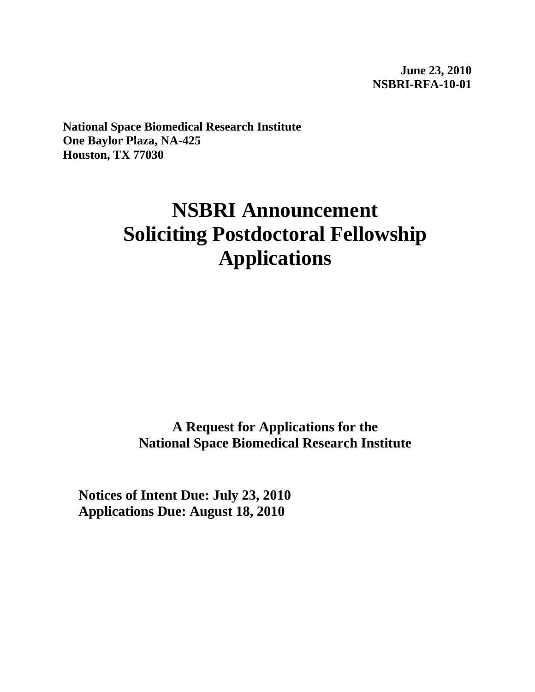**June 23, 2010 NSBRI-RFA-10-01** 

**National Space Biomedical Research Institute One Baylor Plaza, NA-425 Houston, TX 77030**

# **NSBRI Announcement Soliciting Postdoctoral Fellowship Applications**

**A Request for Applications for the National Space Biomedical Research Institute**

**Notices of Intent Due: July 23, 2010 Applications Due: August 18, 2010**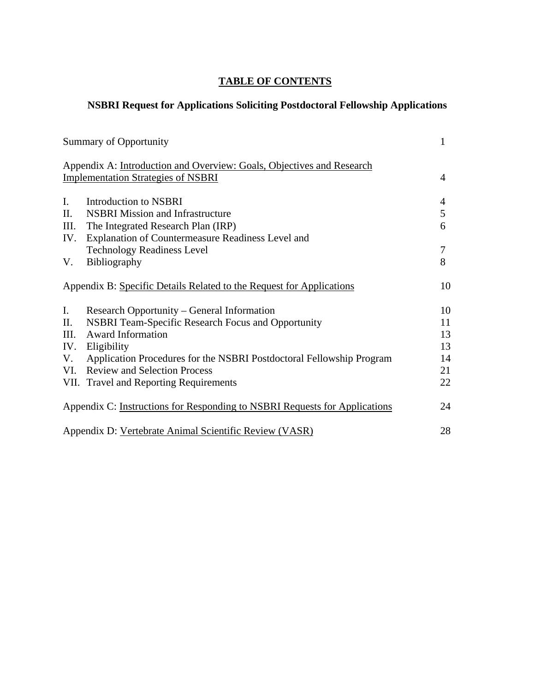# **TABLE OF CONTENTS**

# **NSBRI Request for Applications Soliciting Postdoctoral Fellowship Applications**

|                                                        | <b>Summary of Opportunity</b>                                              | 1  |  |
|--------------------------------------------------------|----------------------------------------------------------------------------|----|--|
|                                                        | Appendix A: Introduction and Overview: Goals, Objectives and Research      |    |  |
|                                                        | <b>Implementation Strategies of NSBRI</b>                                  | 4  |  |
| $\mathbf{I}$ .                                         | <b>Introduction to NSBRI</b>                                               | 4  |  |
| Π.                                                     | <b>NSBRI Mission and Infrastructure</b>                                    | 5  |  |
| III.                                                   | The Integrated Research Plan (IRP)                                         | 6  |  |
| IV.                                                    | Explanation of Countermeasure Readiness Level and                          |    |  |
|                                                        | <b>Technology Readiness Level</b>                                          | 7  |  |
| V.                                                     | Bibliography                                                               | 8  |  |
|                                                        | Appendix B: Specific Details Related to the Request for Applications       | 10 |  |
| I.                                                     | Research Opportunity – General Information                                 | 10 |  |
| П.                                                     | <b>NSBRI Team-Specific Research Focus and Opportunity</b>                  | 11 |  |
| III.                                                   | <b>Award Information</b>                                                   | 13 |  |
| IV.                                                    | Eligibility                                                                | 13 |  |
| V.                                                     | Application Procedures for the NSBRI Postdoctoral Fellowship Program       | 14 |  |
|                                                        | VI. Review and Selection Process                                           | 21 |  |
|                                                        | VII. Travel and Reporting Requirements                                     | 22 |  |
|                                                        | Appendix C: Instructions for Responding to NSBRI Requests for Applications | 24 |  |
| Appendix D: Vertebrate Animal Scientific Review (VASR) |                                                                            |    |  |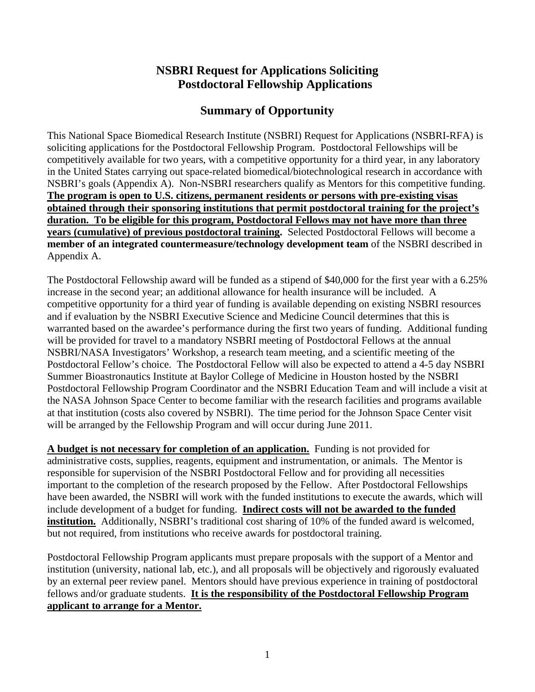# **NSBRI Request for Applications Soliciting Postdoctoral Fellowship Applications**

# **Summary of Opportunity**

This National Space Biomedical Research Institute (NSBRI) Request for Applications (NSBRI-RFA) is soliciting applications for the Postdoctoral Fellowship Program. Postdoctoral Fellowships will be competitively available for two years, with a competitive opportunity for a third year, in any laboratory in the United States carrying out space-related biomedical/biotechnological research in accordance with NSBRI's goals (Appendix A). Non-NSBRI researchers qualify as Mentors for this competitive funding. **The program is open to U.S. citizens, permanent residents or persons with pre-existing visas obtained through their sponsoring institutions that permit postdoctoral training for the project's duration. To be eligible for this program, Postdoctoral Fellows may not have more than three years (cumulative) of previous postdoctoral training.** Selected Postdoctoral Fellows will become a **member of an integrated countermeasure/technology development team** of the NSBRI described in Appendix A.

The Postdoctoral Fellowship award will be funded as a stipend of \$40,000 for the first year with a 6.25% increase in the second year; an additional allowance for health insurance will be included. A competitive opportunity for a third year of funding is available depending on existing NSBRI resources and if evaluation by the NSBRI Executive Science and Medicine Council determines that this is warranted based on the awardee's performance during the first two years of funding. Additional funding will be provided for travel to a mandatory NSBRI meeting of Postdoctoral Fellows at the annual NSBRI/NASA Investigators' Workshop, a research team meeting, and a scientific meeting of the Postdoctoral Fellow's choice. The Postdoctoral Fellow will also be expected to attend a 4-5 day NSBRI Summer Bioastronautics Institute at Baylor College of Medicine in Houston hosted by the NSBRI Postdoctoral Fellowship Program Coordinator and the NSBRI Education Team and will include a visit at the NASA Johnson Space Center to become familiar with the research facilities and programs available at that institution (costs also covered by NSBRI). The time period for the Johnson Space Center visit will be arranged by the Fellowship Program and will occur during June 2011.

**A budget is not necessary for completion of an application.** Funding is not provided for administrative costs, supplies, reagents, equipment and instrumentation, or animals. The Mentor is responsible for supervision of the NSBRI Postdoctoral Fellow and for providing all necessities important to the completion of the research proposed by the Fellow. After Postdoctoral Fellowships have been awarded, the NSBRI will work with the funded institutions to execute the awards, which will include development of a budget for funding. **Indirect costs will not be awarded to the funded institution.** Additionally, NSBRI's traditional cost sharing of 10% of the funded award is welcomed, but not required, from institutions who receive awards for postdoctoral training.

Postdoctoral Fellowship Program applicants must prepare proposals with the support of a Mentor and institution (university, national lab, etc.), and all proposals will be objectively and rigorously evaluated by an external peer review panel. Mentors should have previous experience in training of postdoctoral fellows and/or graduate students. **It is the responsibility of the Postdoctoral Fellowship Program applicant to arrange for a Mentor.**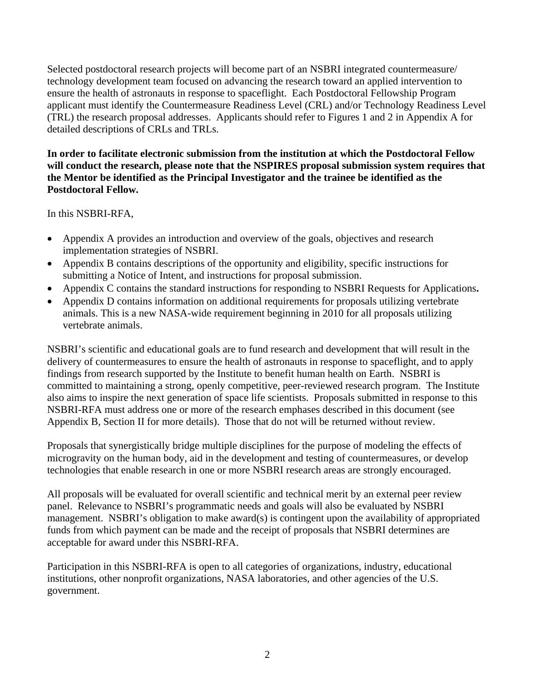Selected postdoctoral research projects will become part of an NSBRI integrated countermeasure/ technology development team focused on advancing the research toward an applied intervention to ensure the health of astronauts in response to spaceflight. Each Postdoctoral Fellowship Program applicant must identify the Countermeasure Readiness Level (CRL) and/or Technology Readiness Level (TRL) the research proposal addresses. Applicants should refer to Figures 1 and 2 in Appendix A for detailed descriptions of CRLs and TRLs.

#### **In order to facilitate electronic submission from the institution at which the Postdoctoral Fellow will conduct the research, please note that the NSPIRES proposal submission system requires that the Mentor be identified as the Principal Investigator and the trainee be identified as the Postdoctoral Fellow.**

In this NSBRI-RFA,

- Appendix A provides an introduction and overview of the goals, objectives and research implementation strategies of NSBRI.
- Appendix B contains descriptions of the opportunity and eligibility, specific instructions for submitting a Notice of Intent, and instructions for proposal submission.
- Appendix C contains the standard instructions for responding to NSBRI Requests for Applications**.**
- Appendix D contains information on additional requirements for proposals utilizing vertebrate animals. This is a new NASA-wide requirement beginning in 2010 for all proposals utilizing vertebrate animals.

NSBRI's scientific and educational goals are to fund research and development that will result in the delivery of countermeasures to ensure the health of astronauts in response to spaceflight, and to apply findings from research supported by the Institute to benefit human health on Earth. NSBRI is committed to maintaining a strong, openly competitive, peer-reviewed research program. The Institute also aims to inspire the next generation of space life scientists. Proposals submitted in response to this NSBRI-RFA must address one or more of the research emphases described in this document (see Appendix B, Section II for more details). Those that do not will be returned without review.

Proposals that synergistically bridge multiple disciplines for the purpose of modeling the effects of microgravity on the human body, aid in the development and testing of countermeasures, or develop technologies that enable research in one or more NSBRI research areas are strongly encouraged.

All proposals will be evaluated for overall scientific and technical merit by an external peer review panel. Relevance to NSBRI's programmatic needs and goals will also be evaluated by NSBRI management. NSBRI's obligation to make award(s) is contingent upon the availability of appropriated funds from which payment can be made and the receipt of proposals that NSBRI determines are acceptable for award under this NSBRI-RFA.

Participation in this NSBRI-RFA is open to all categories of organizations, industry, educational institutions, other nonprofit organizations, NASA laboratories, and other agencies of the U.S. government.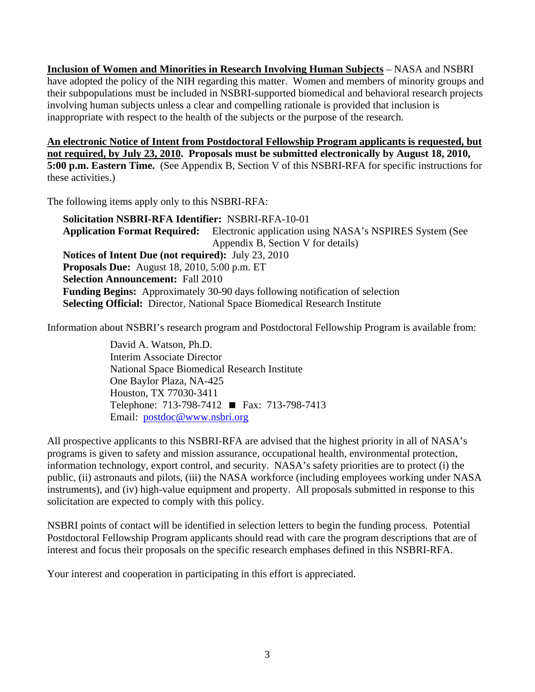**Inclusion of Women and Minorities in Research Involving Human Subjects** – NASA and NSBRI have adopted the policy of the NIH regarding this matter. Women and members of minority groups and their subpopulations must be included in NSBRI-supported biomedical and behavioral research projects involving human subjects unless a clear and compelling rationale is provided that inclusion is inappropriate with respect to the health of the subjects or the purpose of the research.

**An electronic Notice of Intent from Postdoctoral Fellowship Program applicants is requested, but not required, by July 23, 2010. Proposals must be submitted electronically by August 18, 2010, 5:00 p.m. Eastern Time.** (See Appendix B, Section V of this NSBRI-RFA for specific instructions for these activities.)

The following items apply only to this NSBRI-RFA:

**Solicitation NSBRI-RFA Identifier:** NSBRI-RFA-10-01 **Application Format Required:** Electronic application using NASA's NSPIRES System (See Appendix B, Section V for details) **Notices of Intent Due (not required):** July 23, 2010 **Proposals Due:** August 18, 2010, 5:00 p.m. ET **Selection Announcement:** Fall 2010 **Funding Begins:** Approximately 30-90 days following notification of selection **Selecting Official:** Director, National Space Biomedical Research Institute

Information about NSBRI's research program and Postdoctoral Fellowship Program is available from:

David A. Watson, Ph.D. Interim Associate Director National Space Biomedical Research Institute One Baylor Plaza, NA-425 Houston, TX 77030-3411 Telephone: 713-798-7412 ■ Fax: 713-798-7413 Email: [postdoc@www.nsbri.org](mailto:postdoc@www.nsbri.org)

All prospective applicants to this NSBRI-RFA are advised that the highest priority in all of NASA's programs is given to safety and mission assurance, occupational health, environmental protection, information technology, export control, and security. NASA's safety priorities are to protect (i) the public, (ii) astronauts and pilots, (iii) the NASA workforce (including employees working under NASA instruments), and (iv) high-value equipment and property. All proposals submitted in response to this solicitation are expected to comply with this policy.

NSBRI points of contact will be identified in selection letters to begin the funding process. Potential Postdoctoral Fellowship Program applicants should read with care the program descriptions that are of interest and focus their proposals on the specific research emphases defined in this NSBRI-RFA.

Your interest and cooperation in participating in this effort is appreciated.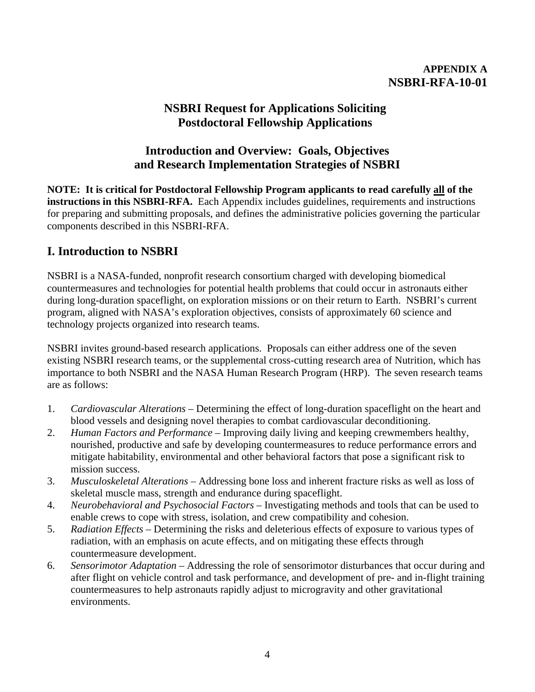## **APPENDIX A NSBRI-RFA-10-01**

# **NSBRI Request for Applications Soliciting Postdoctoral Fellowship Applications**

# **Introduction and Overview: Goals, Objectives and Research Implementation Strategies of NSBRI**

**NOTE: It is critical for Postdoctoral Fellowship Program applicants to read carefully all of the instructions in this NSBRI-RFA.** Each Appendix includes guidelines, requirements and instructions for preparing and submitting proposals, and defines the administrative policies governing the particular components described in this NSBRI-RFA.

# **I. Introduction to NSBRI**

NSBRI is a NASA-funded, nonprofit research consortium charged with developing biomedical countermeasures and technologies for potential health problems that could occur in astronauts either during long-duration spaceflight, on exploration missions or on their return to Earth. NSBRI's current program, aligned with NASA's exploration objectives, consists of approximately 60 science and technology projects organized into research teams.

NSBRI invites ground-based research applications. Proposals can either address one of the seven existing NSBRI research teams, or the supplemental cross-cutting research area of Nutrition, which has importance to both NSBRI and the NASA Human Research Program (HRP). The seven research teams are as follows:

- 1. *Cardiovascular Alterations* Determining the effect of long-duration spaceflight on the heart and blood vessels and designing novel therapies to combat cardiovascular deconditioning.
- 2. *Human Factors and Performance* Improving daily living and keeping crewmembers healthy, nourished, productive and safe by developing countermeasures to reduce performance errors and mitigate habitability, environmental and other behavioral factors that pose a significant risk to mission success.
- 3. *Musculoskeletal Alterations*  Addressing bone loss and inherent fracture risks as well as loss of skeletal muscle mass, strength and endurance during spaceflight.
- 4. *Neurobehavioral and Psychosocial Factors* Investigating methods and tools that can be used to enable crews to cope with stress, isolation, and crew compatibility and cohesion.
- 5. *Radiation Effects* Determining the risks and deleterious effects of exposure to various types of radiation, with an emphasis on acute effects, and on mitigating these effects through countermeasure development.
- 6. *Sensorimotor Adaptation* Addressing the role of sensorimotor disturbances that occur during and after flight on vehicle control and task performance, and development of pre- and in-flight training countermeasures to help astronauts rapidly adjust to microgravity and other gravitational environments.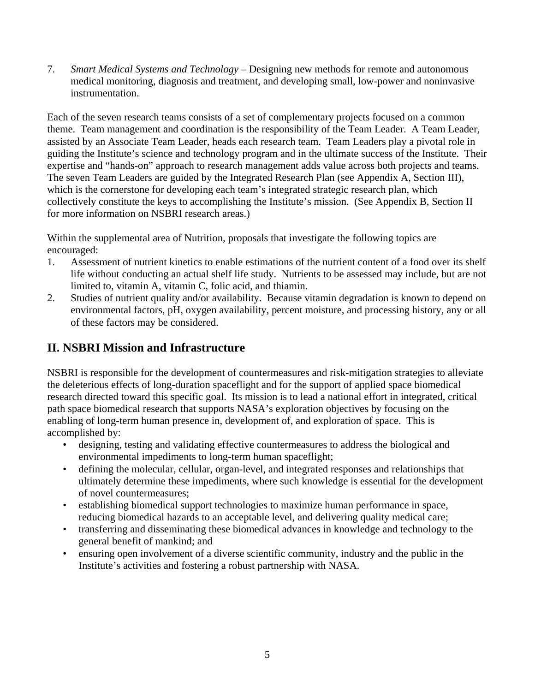7. *Smart Medical Systems and Technology* – Designing new methods for remote and autonomous medical monitoring, diagnosis and treatment, and developing small, low-power and noninvasive instrumentation.

Each of the seven research teams consists of a set of complementary projects focused on a common theme. Team management and coordination is the responsibility of the Team Leader. A Team Leader, assisted by an Associate Team Leader, heads each research team. Team Leaders play a pivotal role in guiding the Institute's science and technology program and in the ultimate success of the Institute. Their expertise and "hands-on" approach to research management adds value across both projects and teams. The seven Team Leaders are guided by the Integrated Research Plan (see Appendix A, Section III), which is the cornerstone for developing each team's integrated strategic research plan, which collectively constitute the keys to accomplishing the Institute's mission. (See Appendix B, Section II for more information on NSBRI research areas.)

Within the supplemental area of Nutrition, proposals that investigate the following topics are encouraged:

- 1. Assessment of nutrient kinetics to enable estimations of the nutrient content of a food over its shelf life without conducting an actual shelf life study. Nutrients to be assessed may include, but are not limited to, vitamin A, vitamin C, folic acid, and thiamin.
- 2. Studies of nutrient quality and/or availability. Because vitamin degradation is known to depend on environmental factors, pH, oxygen availability, percent moisture, and processing history, any or all of these factors may be considered.

# **II. NSBRI Mission and Infrastructure**

NSBRI is responsible for the development of countermeasures and risk-mitigation strategies to alleviate the deleterious effects of long-duration spaceflight and for the support of applied space biomedical research directed toward this specific goal. Its mission is to lead a national effort in integrated, critical path space biomedical research that supports NASA's exploration objectives by focusing on the enabling of long-term human presence in, development of, and exploration of space. This is accomplished by:

- designing, testing and validating effective countermeasures to address the biological and environmental impediments to long-term human spaceflight;
- defining the molecular, cellular, organ-level, and integrated responses and relationships that ultimately determine these impediments, where such knowledge is essential for the development of novel countermeasures;
- establishing biomedical support technologies to maximize human performance in space, reducing biomedical hazards to an acceptable level, and delivering quality medical care;
- transferring and disseminating these biomedical advances in knowledge and technology to the general benefit of mankind; and
- ensuring open involvement of a diverse scientific community, industry and the public in the Institute's activities and fostering a robust partnership with NASA.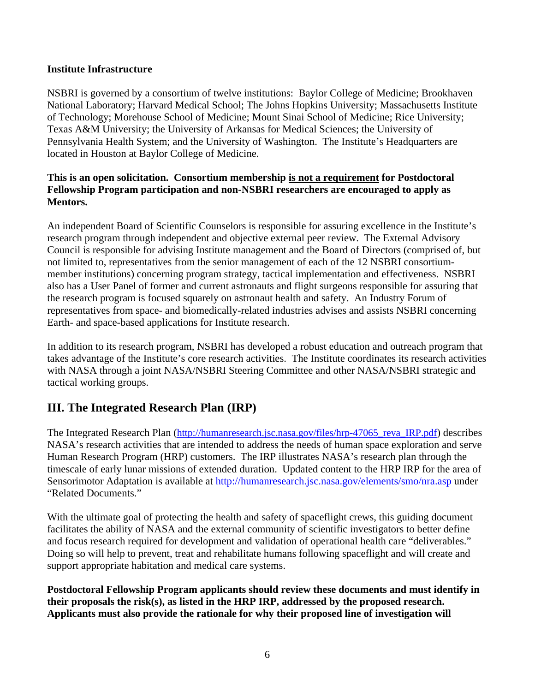#### **Institute Infrastructure**

NSBRI is governed by a consortium of twelve institutions: Baylor College of Medicine; Brookhaven National Laboratory; Harvard Medical School; The Johns Hopkins University; Massachusetts Institute of Technology; Morehouse School of Medicine; Mount Sinai School of Medicine; Rice University; Texas A&M University; the University of Arkansas for Medical Sciences; the University of Pennsylvania Health System; and the University of Washington. The Institute's Headquarters are located in Houston at Baylor College of Medicine.

## **This is an open solicitation. Consortium membership is not a requirement for Postdoctoral Fellowship Program participation and non-NSBRI researchers are encouraged to apply as Mentors.**

An independent Board of Scientific Counselors is responsible for assuring excellence in the Institute's research program through independent and objective external peer review. The External Advisory Council is responsible for advising Institute management and the Board of Directors (comprised of, but not limited to, representatives from the senior management of each of the 12 NSBRI consortiummember institutions) concerning program strategy, tactical implementation and effectiveness. NSBRI also has a User Panel of former and current astronauts and flight surgeons responsible for assuring that the research program is focused squarely on astronaut health and safety. An Industry Forum of representatives from space- and biomedically-related industries advises and assists NSBRI concerning Earth- and space-based applications for Institute research.

In addition to its research program, NSBRI has developed a robust education and outreach program that takes advantage of the Institute's core research activities. The Institute coordinates its research activities with NASA through a joint NASA/NSBRI Steering Committee and other NASA/NSBRI strategic and tactical working groups.

# **III. The Integrated Research Plan (IRP)**

The Integrated Research Plan (http://humanresearch.jsc.nasa.gov/files/hrp-47065 reva\_IRP.pdf) describes NASA's research activities that are intended to address the needs of human space exploration and serve Human Research Program (HRP) customers. The IRP illustrates NASA's research plan through the timescale of early lunar missions of extended duration. Updated content to the HRP IRP for the area of Sensorimotor Adaptation is available at <http://humanresearch.jsc.nasa.gov/elements/smo/nra.asp> under "Related Documents."

With the ultimate goal of protecting the health and safety of spaceflight crews, this guiding document facilitates the ability of NASA and the external community of scientific investigators to better define and focus research required for development and validation of operational health care "deliverables." Doing so will help to prevent, treat and rehabilitate humans following spaceflight and will create and support appropriate habitation and medical care systems.

**Postdoctoral Fellowship Program applicants should review these documents and must identify in their proposals the risk(s), as listed in the HRP IRP, addressed by the proposed research. Applicants must also provide the rationale for why their proposed line of investigation will**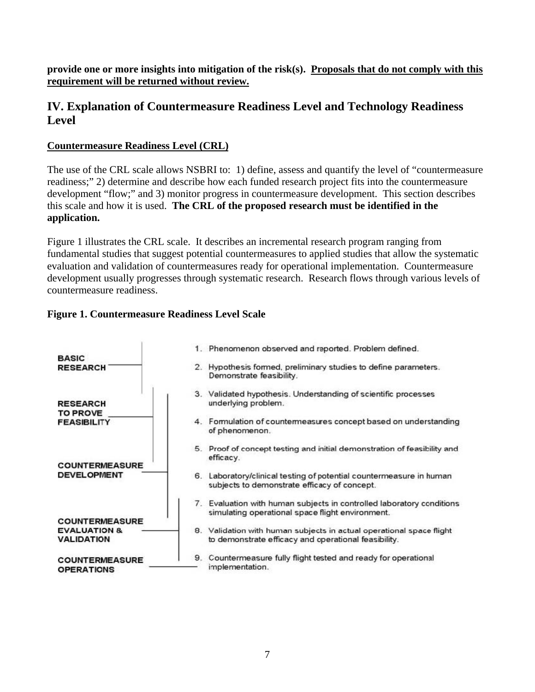**provide one or more insights into mitigation of the risk(s). Proposals that do not comply with this requirement will be returned without review.**

# **IV. Explanation of Countermeasure Readiness Level and Technology Readiness Level**

## **Countermeasure Readiness Level (CRL)**

The use of the CRL scale allows NSBRI to: 1) define, assess and quantify the level of "countermeasure readiness;" 2) determine and describe how each funded research project fits into the countermeasure development "flow;" and 3) monitor progress in countermeasure development. This section describes this scale and how it is used. **The CRL of the proposed research must be identified in the application.** 

Figure 1 illustrates the CRL scale. It describes an incremental research program ranging from fundamental studies that suggest potential countermeasures to applied studies that allow the systematic evaluation and validation of countermeasures ready for operational implementation. Countermeasure development usually progresses through systematic research. Research flows through various levels of countermeasure readiness.

## **Figure 1. Countermeasure Readiness Level Scale**

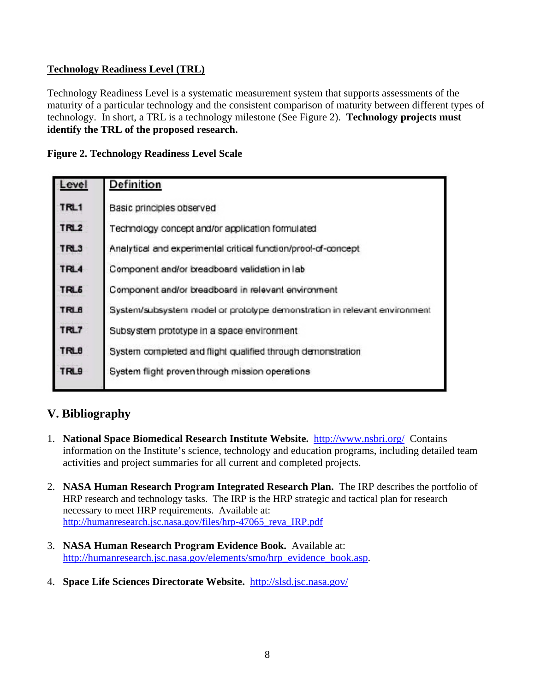## **Technology Readiness Level (TRL)**

Technology Readiness Level is a systematic measurement system that supports assessments of the maturity of a particular technology and the consistent comparison of maturity between different types of technology. In short, a TRL is a technology milestone (See Figure 2). **Technology projects must identify the TRL of the proposed research.**

|  | <b>Figure 2. Technology Readiness Level Scale</b> |  |  |
|--|---------------------------------------------------|--|--|
|  |                                                   |  |  |

| Level            | Definition                                                                |
|------------------|---------------------------------------------------------------------------|
| TRL1             | Basic principles observed                                                 |
| TRL2             | Technology concept and/or application formulated                          |
| TRL3             | Analytical and experimental critical function/prool-of-concept            |
| TRL4             | Component and/or breadboard validation in lab                             |
| TRL <sub>6</sub> | Component and/or breadboard in relevant environment                       |
| <b>TRL6</b>      | System/subsystem model or prototype demonstration in relevant environment |
| TRL7             | Subsystem prototype in a space environment                                |
| <b>TRLB</b>      | System completed and flight qualified through demonstration               |
| <b>TRL9</b>      | System flight proven through mission operations                           |
|                  |                                                                           |

# **V. Bibliography**

- 1. **National Space Biomedical Research Institute Website.** <http://www.nsbri.org/> Contains information on the Institute's science, technology and education programs, including detailed team activities and project summaries for all current and completed projects.
- 2. **NASA Human Research Program Integrated Research Plan.** The IRP describes the portfolio of HRP research and technology tasks. The IRP is the HRP strategic and tactical plan for research necessary to meet HRP requirements. Available at: [http://humanresearch.jsc.nasa.gov/files/hrp-47065\\_reva\\_IRP.pdf](http://humanresearch.jsc.nasa.gov/files/hrp-47065_reva_IRP.pdf)
- 3. **NASA Human Research Program Evidence Book.** Available at: [http://humanresearch.jsc.nasa.gov/elements/smo/hrp\\_evidence\\_book.asp](http://humanresearch.jsc.nasa.gov/elements/smo/hrp_evidence_book.asp).
- 4. **Space Life Sciences Directorate Website.** <http://slsd.jsc.nasa.gov/>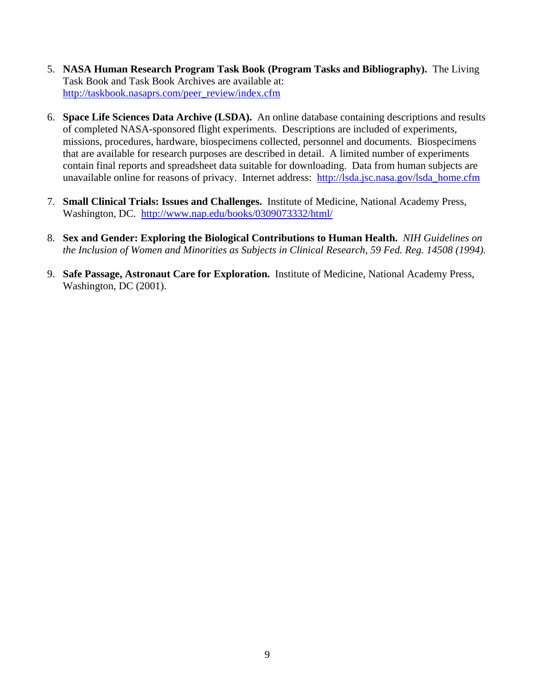- 5. **NASA Human Research Program Task Book (Program Tasks and Bibliography).** The Living Task Book and Task Book Archives are available at: [http://taskbook.nasaprs.com/peer\\_review/index.cfm](http://taskbook.nasaprs.com/peer_review/index.cfm)
- 6. **Space Life Sciences Data Archive (LSDA).** An online database containing descriptions and results of completed NASA-sponsored flight experiments. Descriptions are included of experiments, missions, procedures, hardware, biospecimens collected, personnel and documents. Biospecimens that are available for research purposes are described in detail. A limited number of experiments contain final reports and spreadsheet data suitable for downloading. Data from human subjects are unavailable online for reasons of privacy. Internet address: [http://lsda.jsc.nasa.gov/lsda\\_home.cfm](http://lsda.jsc.nasa.gov/lsda_home.cfm)
- 7. **Small Clinical Trials: Issues and Challenges.** Institute of Medicine, National Academy Press, Washington, DC. <http://www.nap.edu/books/0309073332/html/>
- 8. **Sex and Gender: Exploring the Biological Contributions to Human Health.** *NIH Guidelines on the Inclusion of Women and Minorities as Subjects in Clinical Research, 59 Fed. Reg. 14508 (1994).*
- 9. **Safe Passage, Astronaut Care for Exploration.** Institute of Medicine, National Academy Press, Washington, DC (2001).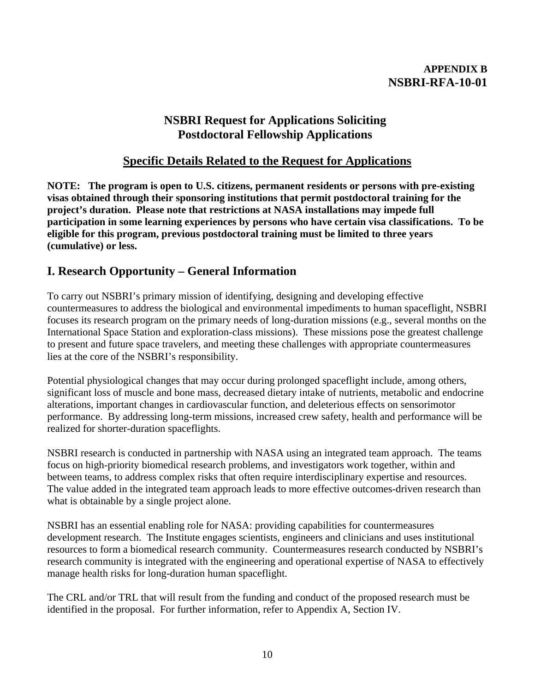## **APPENDIX B NSBRI-RFA-10-01**

## **NSBRI Request for Applications Soliciting Postdoctoral Fellowship Applications**

## **Specific Details Related to the Request for Applications**

**NOTE: The program is open to U.S. citizens, permanent residents or persons with pre-existing visas obtained through their sponsoring institutions that permit postdoctoral training for the project's duration. Please note that restrictions at NASA installations may impede full participation in some learning experiences by persons who have certain visa classifications. To be eligible for this program, previous postdoctoral training must be limited to three years (cumulative) or less.** 

# **I. Research Opportunity – General Information**

To carry out NSBRI's primary mission of identifying, designing and developing effective countermeasures to address the biological and environmental impediments to human spaceflight, NSBRI focuses its research program on the primary needs of long-duration missions (e.g., several months on the International Space Station and exploration-class missions). These missions pose the greatest challenge to present and future space travelers, and meeting these challenges with appropriate countermeasures lies at the core of the NSBRI's responsibility.

Potential physiological changes that may occur during prolonged spaceflight include, among others, significant loss of muscle and bone mass, decreased dietary intake of nutrients, metabolic and endocrine alterations, important changes in cardiovascular function, and deleterious effects on sensorimotor performance. By addressing long-term missions, increased crew safety, health and performance will be realized for shorter-duration spaceflights.

NSBRI research is conducted in partnership with NASA using an integrated team approach. The teams focus on high-priority biomedical research problems, and investigators work together, within and between teams, to address complex risks that often require interdisciplinary expertise and resources. The value added in the integrated team approach leads to more effective outcomes-driven research than what is obtainable by a single project alone.

NSBRI has an essential enabling role for NASA: providing capabilities for countermeasures development research. The Institute engages scientists, engineers and clinicians and uses institutional resources to form a biomedical research community. Countermeasures research conducted by NSBRI's research community is integrated with the engineering and operational expertise of NASA to effectively manage health risks for long-duration human spaceflight.

The CRL and/or TRL that will result from the funding and conduct of the proposed research must be identified in the proposal. For further information, refer to Appendix A, Section IV.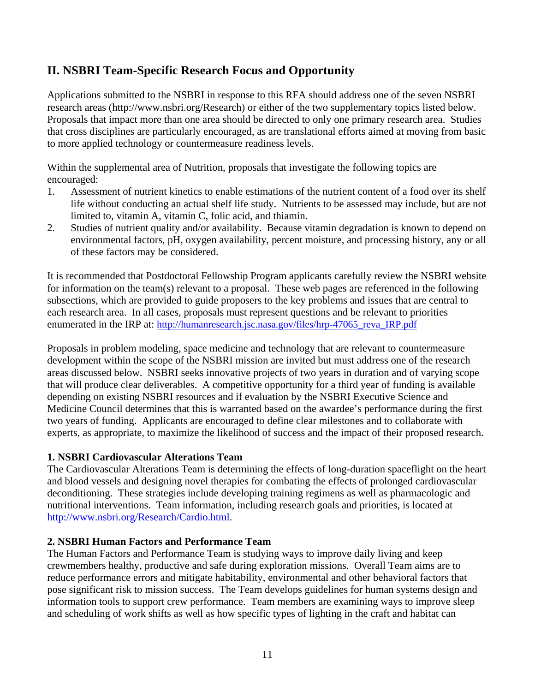# **II. NSBRI Team-Specific Research Focus and Opportunity**

Applications submitted to the NSBRI in response to this RFA should address one of the seven NSBRI research areas ([http://www.nsbri.org/Research\)](http://www.nsbri.org/Research/) or either of the two supplementary topics listed below. Proposals that impact more than one area should be directed to only one primary research area. Studies that cross disciplines are particularly encouraged, as are translational efforts aimed at moving from basic to more applied technology or countermeasure readiness levels.

Within the supplemental area of Nutrition, proposals that investigate the following topics are encouraged:

- 1. Assessment of nutrient kinetics to enable estimations of the nutrient content of a food over its shelf life without conducting an actual shelf life study. Nutrients to be assessed may include, but are not limited to, vitamin A, vitamin C, folic acid, and thiamin.
- 2. Studies of nutrient quality and/or availability. Because vitamin degradation is known to depend on environmental factors, pH, oxygen availability, percent moisture, and processing history, any or all of these factors may be considered.

It is recommended that Postdoctoral Fellowship Program applicants carefully review the NSBRI website for information on the team(s) relevant to a proposal. These web pages are referenced in the following subsections, which are provided to guide proposers to the key problems and issues that are central to each research area. In all cases, proposals must represent questions and be relevant to priorities enumerated in the IRP at: [http://humanresearch.jsc.nasa.gov/files/hrp-47065\\_reva\\_IRP.pdf](http://humanresearch.jsc.nasa.gov/files/hrp-47065_reva_IRP.pdf)

Proposals in problem modeling, space medicine and technology that are relevant to countermeasure development within the scope of the NSBRI mission are invited but must address one of the research areas discussed below. NSBRI seeks innovative projects of two years in duration and of varying scope that will produce clear deliverables. A competitive opportunity for a third year of funding is available depending on existing NSBRI resources and if evaluation by the NSBRI Executive Science and Medicine Council determines that this is warranted based on the awardee's performance during the first two years of funding. Applicants are encouraged to define clear milestones and to collaborate with experts, as appropriate, to maximize the likelihood of success and the impact of their proposed research.

## **1. NSBRI Cardiovascular Alterations Team**

The Cardiovascular Alterations Team is determining the effects of long-duration spaceflight on the heart and blood vessels and designing novel therapies for combating the effects of prolonged cardiovascular deconditioning. These strategies include developing training regimens as well as pharmacologic and nutritional interventions. Team information, including research goals and priorities, is located at [http://www.nsbri.org/Research/Cardio.html.](http://www.nsbri.org/Research/Cardio.html)

## **2. NSBRI Human Factors and Performance Team**

The Human Factors and Performance Team is studying ways to improve daily living and keep crewmembers healthy, productive and safe during exploration missions. Overall Team aims are to reduce performance errors and mitigate habitability, environmental and other behavioral factors that pose significant risk to mission success. The Team develops guidelines for human systems design and information tools to support crew performance. Team members are examining ways to improve sleep and scheduling of work shifts as well as how specific types of lighting in the craft and habitat can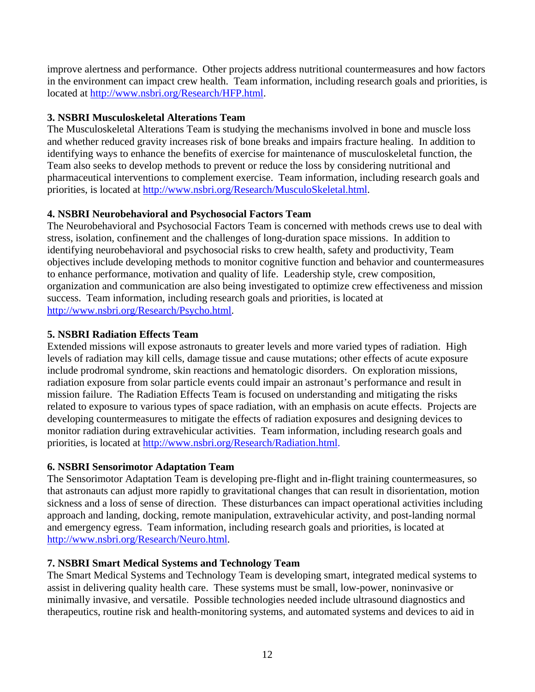improve alertness and performance. Other projects address nutritional countermeasures and how factors in the environment can impact crew health. Team information, including research goals and priorities, is located at<http://www.nsbri.org/Research/HFP.html>.

## **3. NSBRI Musculoskeletal Alterations Team**

The Musculoskeletal Alterations Team is studying the mechanisms involved in bone and muscle loss and whether reduced gravity increases risk of bone breaks and impairs fracture healing. In addition to identifying ways to enhance the benefits of exercise for maintenance of musculoskeletal function, the Team also seeks to develop methods to prevent or reduce the loss by considering nutritional and pharmaceutical interventions to complement exercise. Team information, including research goals and priorities, is located at <http://www.nsbri.org/Research/MusculoSkeletal.html>.

## **4. NSBRI Neurobehavioral and Psychosocial Factors Team**

The Neurobehavioral and Psychosocial Factors Team is concerned with methods crews use to deal with stress, isolation, confinement and the challenges of long-duration space missions. In addition to identifying neurobehavioral and psychosocial risks to crew health, safety and productivity, Team objectives include developing methods to monitor cognitive function and behavior and countermeasures to enhance performance, motivation and quality of life. Leadership style, crew composition, organization and communication are also being investigated to optimize crew effectiveness and mission success. Team information, including research goals and priorities, is located at [http://www.nsbri.org/Research/Psycho.html.](http://www.nsbri.org/Research/Psycho.html)

## **5. NSBRI Radiation Effects Team**

Extended missions will expose astronauts to greater levels and more varied types of radiation. High levels of radiation may kill cells, damage tissue and cause mutations; other effects of acute exposure include prodromal syndrome, skin reactions and hematologic disorders. On exploration missions, radiation exposure from solar particle events could impair an astronaut's performance and result in mission failure. The Radiation Effects Team is focused on understanding and mitigating the risks related to exposure to various types of space radiation, with an emphasis on acute effects. Projects are developing countermeasures to mitigate the effects of radiation exposures and designing devices to monitor radiation during extravehicular activities. Team information, including research goals and priorities, is located at <http://www.nsbri.org/Research/Radiation.html>.

## **6. NSBRI Sensorimotor Adaptation Team**

The Sensorimotor Adaptation Team is developing pre-flight and in-flight training countermeasures, so that astronauts can adjust more rapidly to gravitational changes that can result in disorientation, motion sickness and a loss of sense of direction. These disturbances can impact operational activities including approach and landing, docking, remote manipulation, extravehicular activity, and post-landing normal and emergency egress. Team information, including research goals and priorities, is located at <http://www.nsbri.org/Research/Neuro.html>.

## **7. NSBRI Smart Medical Systems and Technology Team**

The Smart Medical Systems and Technology Team is developing smart, integrated medical systems to assist in delivering quality health care. These systems must be small, low-power, noninvasive or minimally invasive, and versatile. Possible technologies needed include ultrasound diagnostics and therapeutics, routine risk and health-monitoring systems, and automated systems and devices to aid in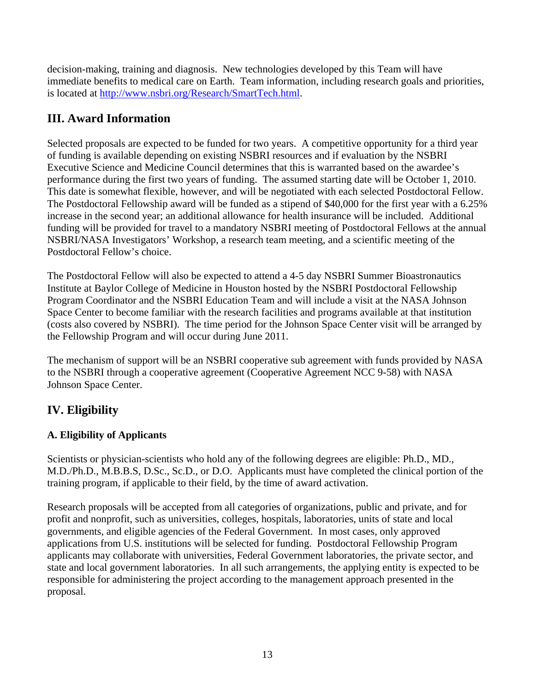decision-making, training and diagnosis. New technologies developed by this Team will have immediate benefits to medical care on Earth. Team information, including research goals and priorities, is located at<http://www.nsbri.org/Research/SmartTech.html>.

# **III. Award Information**

Selected proposals are expected to be funded for two years. A competitive opportunity for a third year of funding is available depending on existing NSBRI resources and if evaluation by the NSBRI Executive Science and Medicine Council determines that this is warranted based on the awardee's performance during the first two years of funding. The assumed starting date will be October 1, 2010. This date is somewhat flexible, however, and will be negotiated with each selected Postdoctoral Fellow. The Postdoctoral Fellowship award will be funded as a stipend of \$40,000 for the first year with a 6.25% increase in the second year; an additional allowance for health insurance will be included. Additional funding will be provided for travel to a mandatory NSBRI meeting of Postdoctoral Fellows at the annual NSBRI/NASA Investigators' Workshop, a research team meeting, and a scientific meeting of the Postdoctoral Fellow's choice.

The Postdoctoral Fellow will also be expected to attend a 4-5 day NSBRI Summer Bioastronautics Institute at Baylor College of Medicine in Houston hosted by the NSBRI Postdoctoral Fellowship Program Coordinator and the NSBRI Education Team and will include a visit at the NASA Johnson Space Center to become familiar with the research facilities and programs available at that institution (costs also covered by NSBRI). The time period for the Johnson Space Center visit will be arranged by the Fellowship Program and will occur during June 2011.

The mechanism of support will be an NSBRI cooperative sub agreement with funds provided by NASA to the NSBRI through a cooperative agreement (Cooperative Agreement NCC 9-58) with NASA Johnson Space Center.

# **IV. Eligibility**

## **A. Eligibility of Applicants**

Scientists or physician-scientists who hold any of the following degrees are eligible: Ph.D., MD., M.D./Ph.D., M.B.B.S, D.Sc., Sc.D., or D.O. Applicants must have completed the clinical portion of the training program, if applicable to their field, by the time of award activation.

Research proposals will be accepted from all categories of organizations, public and private, and for profit and nonprofit, such as universities, colleges, hospitals, laboratories, units of state and local governments, and eligible agencies of the Federal Government. In most cases, only approved applications from U.S. institutions will be selected for funding. Postdoctoral Fellowship Program applicants may collaborate with universities, Federal Government laboratories, the private sector, and state and local government laboratories. In all such arrangements, the applying entity is expected to be responsible for administering the project according to the management approach presented in the proposal.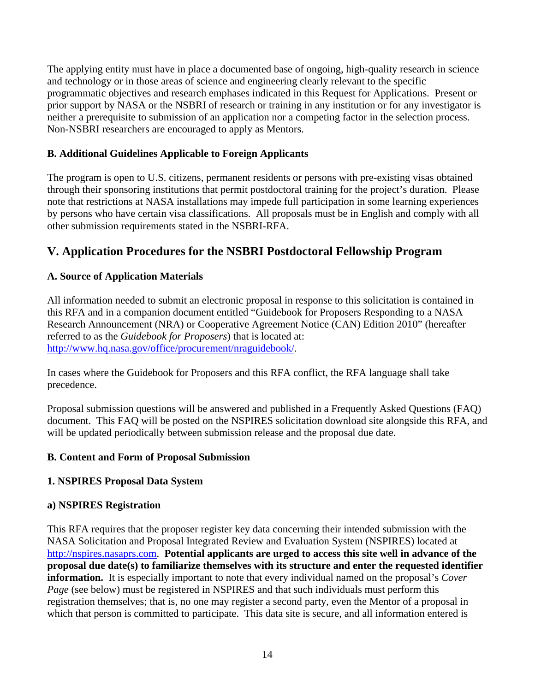The applying entity must have in place a documented base of ongoing, high-quality research in science and technology or in those areas of science and engineering clearly relevant to the specific programmatic objectives and research emphases indicated in this Request for Applications. Present or prior support by NASA or the NSBRI of research or training in any institution or for any investigator is neither a prerequisite to submission of an application nor a competing factor in the selection process. Non-NSBRI researchers are encouraged to apply as Mentors.

## **B. Additional Guidelines Applicable to Foreign Applicants**

The program is open to U.S. citizens, permanent residents or persons with pre-existing visas obtained through their sponsoring institutions that permit postdoctoral training for the project's duration. Please note that restrictions at NASA installations may impede full participation in some learning experiences by persons who have certain visa classifications. All proposals must be in English and comply with all other submission requirements stated in the NSBRI-RFA.

# **V. Application Procedures for the NSBRI Postdoctoral Fellowship Program**

## **A. Source of Application Materials**

All information needed to submit an electronic proposal in response to this solicitation is contained in this RFA and in a companion document entitled "Guidebook for Proposers Responding to a NASA Research Announcement (NRA) or Cooperative Agreement Notice (CAN) Edition 2010" (hereafter referred to as the *Guidebook for Proposers*) that is located at: [http://www.hq.nasa.gov/office/procurement/nraguidebook/.](http://www.hq.nasa.gov/office/procurement/nraguidebook/)

In cases where the Guidebook for Proposers and this RFA conflict, the RFA language shall take precedence.

Proposal submission questions will be answered and published in a Frequently Asked Questions (FAQ) document. This FAQ will be posted on the NSPIRES solicitation download site alongside this RFA, and will be updated periodically between submission release and the proposal due date.

## **B. Content and Form of Proposal Submission**

## **1. NSPIRES Proposal Data System**

## **a) NSPIRES Registration**

This RFA requires that the proposer register key data concerning their intended submission with the NASA Solicitation and Proposal Integrated Review and Evaluation System (NSPIRES) located at [http://nspires.nasaprs.com](http://nspires.nasaprs.com/). **Potential applicants are urged to access this site well in advance of the proposal due date(s) to familiarize themselves with its structure and enter the requested identifier information.** It is especially important to note that every individual named on the proposal's *Cover Page* (see below) must be registered in NSPIRES and that such individuals must perform this registration themselves; that is, no one may register a second party, even the Mentor of a proposal in which that person is committed to participate. This data site is secure, and all information entered is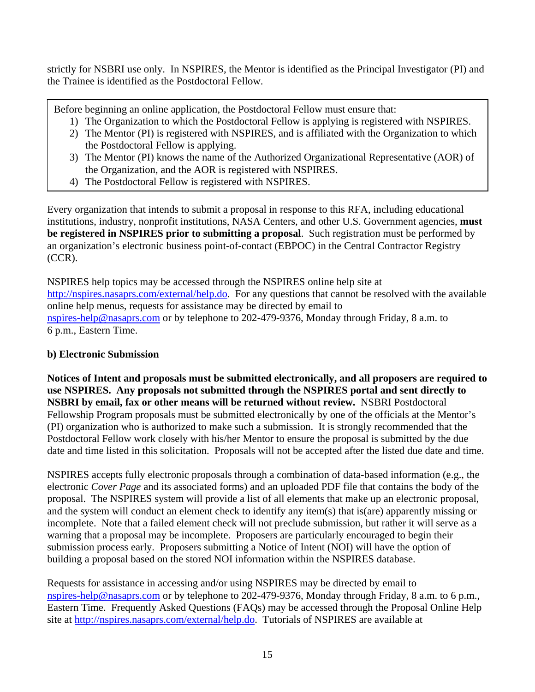strictly for NSBRI use only. In NSPIRES, the Mentor is identified as the Principal Investigator (PI) and the Trainee is identified as the Postdoctoral Fellow.

Before beginning an online application, the Postdoctoral Fellow must ensure that:

- 1) The Organization to which the Postdoctoral Fellow is applying is registered with NSPIRES.
- 2) The Mentor (PI) is registered with NSPIRES, and is affiliated with the Organization to which the Postdoctoral Fellow is applying.
- 3) The Mentor (PI) knows the name of the Authorized Organizational Representative (AOR) of the Organization, and the AOR is registered with NSPIRES.
- 4) The Postdoctoral Fellow is registered with NSPIRES.

Every organization that intends to submit a proposal in response to this RFA, including educational institutions, industry, nonprofit institutions, NASA Centers, and other U.S. Government agencies, **must be registered in NSPIRES prior to submitting a proposal**. Such registration must be performed by an organization's electronic business point-of-contact (EBPOC) in the Central Contractor Registry (CCR).

NSPIRES help topics may be accessed through the NSPIRES online help site at <http://nspires.nasaprs.com/external/help.do>. For any questions that cannot be resolved with the available online help menus, requests for assistance may be directed by email to [nspires-help@nasaprs.com](mailto:nspires-help@nasaprs.com) or by telephone to 202-479-9376, Monday through Friday, 8 a.m. to 6 p.m., Eastern Time.

## **b) Electronic Submission**

**Notices of Intent and proposals must be submitted electronically, and all proposers are required to use NSPIRES. Any proposals not submitted through the NSPIRES portal and sent directly to NSBRI by email, fax or other means will be returned without review.** NSBRI Postdoctoral Fellowship Program proposals must be submitted electronically by one of the officials at the Mentor's (PI) organization who is authorized to make such a submission. It is strongly recommended that the Postdoctoral Fellow work closely with his/her Mentor to ensure the proposal is submitted by the due date and time listed in this solicitation. Proposals will not be accepted after the listed due date and time.

NSPIRES accepts fully electronic proposals through a combination of data-based information (e.g., the electronic *Cover Page* and its associated forms) and an uploaded PDF file that contains the body of the proposal. The NSPIRES system will provide a list of all elements that make up an electronic proposal, and the system will conduct an element check to identify any item(s) that is(are) apparently missing or incomplete. Note that a failed element check will not preclude submission, but rather it will serve as a warning that a proposal may be incomplete. Proposers are particularly encouraged to begin their submission process early. Proposers submitting a Notice of Intent (NOI) will have the option of building a proposal based on the stored NOI information within the NSPIRES database.

Requests for assistance in accessing and/or using NSPIRES may be directed by email to [nspires-help@nasaprs.com](mailto:nspires-help@nasaprs.com) or by telephone to 202-479-9376, Monday through Friday, 8 a.m. to 6 p.m., Eastern Time. Frequently Asked Questions (FAQs) may be accessed through the Proposal Online Help site at [http://nspires.nasaprs.com/external/help.do.](http://nspires.nasaprs.com/external/help.do) Tutorials of NSPIRES are available at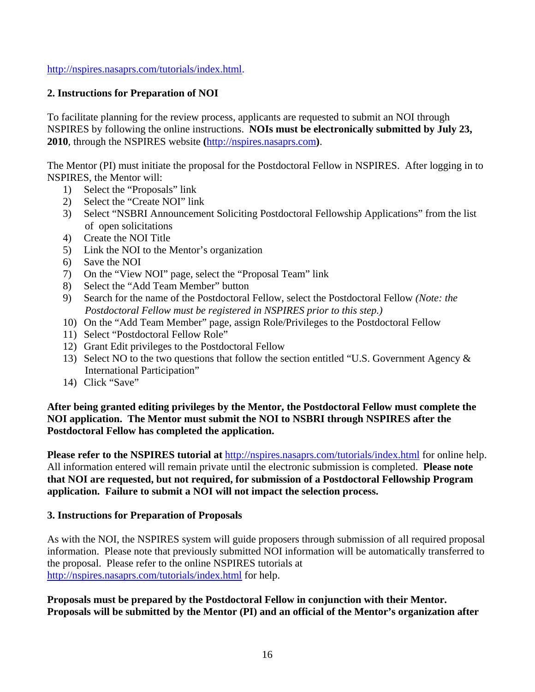[http://nspires.nasaprs.com/tutorials/index.html.](http://nspires.nasaprs.com/tutorials/index.html)

## **2. Instructions for Preparation of NOI**

To facilitate planning for the review process, applicants are requested to submit an NOI through NSPIRES by following the online instructions. **NOIs must be electronically submitted by July 23, 2010**, through the NSPIRES website **(**[http://nspires.nasaprs.com](http://nspires.nasaprs.com/)**)**.

The Mentor (PI) must initiate the proposal for the Postdoctoral Fellow in NSPIRES. After logging in to NSPIRES, the Mentor will:

- 1) Select the "Proposals" link
- 2) Select the "Create NOI" link
- 3) Select "NSBRI Announcement Soliciting Postdoctoral Fellowship Applications" from the list of open solicitations
- 4) Create the NOI Title
- 5) Link the NOI to the Mentor's organization
- 6) Save the NOI
- 7) On the "View NOI" page, select the "Proposal Team" link
- 8) Select the "Add Team Member" button
- 9) Search for the name of the Postdoctoral Fellow, select the Postdoctoral Fellow *(Note: the Postdoctoral Fellow must be registered in NSPIRES prior to this step.)*
- 10) On the "Add Team Member" page, assign Role/Privileges to the Postdoctoral Fellow
- 11) Select "Postdoctoral Fellow Role"
- 12) Grant Edit privileges to the Postdoctoral Fellow
- 13) Select NO to the two questions that follow the section entitled "U.S. Government Agency & International Participation"
- 14) Click "Save"

## **After being granted editing privileges by the Mentor, the Postdoctoral Fellow must complete the NOI application. The Mentor must submit the NOI to NSBRI through NSPIRES after the Postdoctoral Fellow has completed the application.**

**Please refer to the NSPIRES tutorial at** <http://nspires.nasaprs.com/tutorials/index.html>for online help. All information entered will remain private until the electronic submission is completed. **Please note that NOI are requested, but not required, for submission of a Postdoctoral Fellowship Program application. Failure to submit a NOI will not impact the selection process.**

## **3. Instructions for Preparation of Proposals**

As with the NOI, the NSPIRES system will guide proposers through submission of all required proposal information. Please note that previously submitted NOI information will be automatically transferred to the proposal. Please refer to the online NSPIRES tutorials at <http://nspires.nasaprs.com/tutorials/index.html> for help.

## **Proposals must be prepared by the Postdoctoral Fellow in conjunction with their Mentor. Proposals will be submitted by the Mentor (PI) and an official of the Mentor's organization after**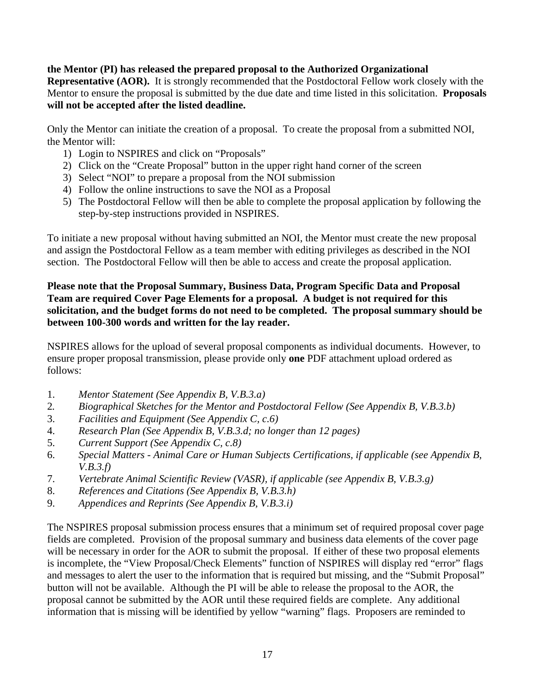#### **the Mentor (PI) has released the prepared proposal to the Authorized Organizational Representative (AOR).** It is strongly recommended that the Postdoctoral Fellow work closely with the Mentor to ensure the proposal is submitted by the due date and time listed in this solicitation. **Proposals will not be accepted after the listed deadline.**

Only the Mentor can initiate the creation of a proposal. To create the proposal from a submitted NOI, the Mentor will:

- 1) Login to NSPIRES and click on "Proposals"
- 2) Click on the "Create Proposal" button in the upper right hand corner of the screen
- 3) Select "NOI" to prepare a proposal from the NOI submission
- 4) Follow the online instructions to save the NOI as a Proposal
- 5) The Postdoctoral Fellow will then be able to complete the proposal application by following the step-by-step instructions provided in NSPIRES.

To initiate a new proposal without having submitted an NOI, the Mentor must create the new proposal and assign the Postdoctoral Fellow as a team member with editing privileges as described in the NOI section. The Postdoctoral Fellow will then be able to access and create the proposal application.

## **Please note that the Proposal Summary, Business Data, Program Specific Data and Proposal Team are required Cover Page Elements for a proposal. A budget is not required for this solicitation, and the budget forms do not need to be completed. The proposal summary should be between 100-300 words and written for the lay reader.**

NSPIRES allows for the upload of several proposal components as individual documents. However, to ensure proper proposal transmission, please provide only **one** PDF attachment upload ordered as follows:

- 1. *Mentor Statement (See Appendix B, V.B.3.a)*
- 2*. Biographical Sketches for the Mentor and Postdoctoral Fellow (See Appendix B, V.B.3.b)*
- 3. *Facilities and Equipment (See Appendix C, c.6)*
- 4. *Research Plan (See Appendix B, V.B.3.d; no longer than 12 pages)*
- 5. *Current Support (See Appendix C, c.8)*
- 6. *Special Matters Animal Care or Human Subjects Certifications, if applicable (see Appendix B, V.B.3.f)*
- 7. *Vertebrate Animal Scientific Review (VASR), if applicable (see Appendix B, V.B.3.g)*
- 8. *References and Citations (See Appendix B, V.B.3.h)*
- 9. *Appendices and Reprints (See Appendix B, V.B.3.i)*

The NSPIRES proposal submission process ensures that a minimum set of required proposal cover page fields are completed. Provision of the proposal summary and business data elements of the cover page will be necessary in order for the AOR to submit the proposal. If either of these two proposal elements is incomplete, the "View Proposal/Check Elements" function of NSPIRES will display red "error" flags and messages to alert the user to the information that is required but missing, and the "Submit Proposal" button will not be available. Although the PI will be able to release the proposal to the AOR, the proposal cannot be submitted by the AOR until these required fields are complete. Any additional information that is missing will be identified by yellow "warning" flags. Proposers are reminded to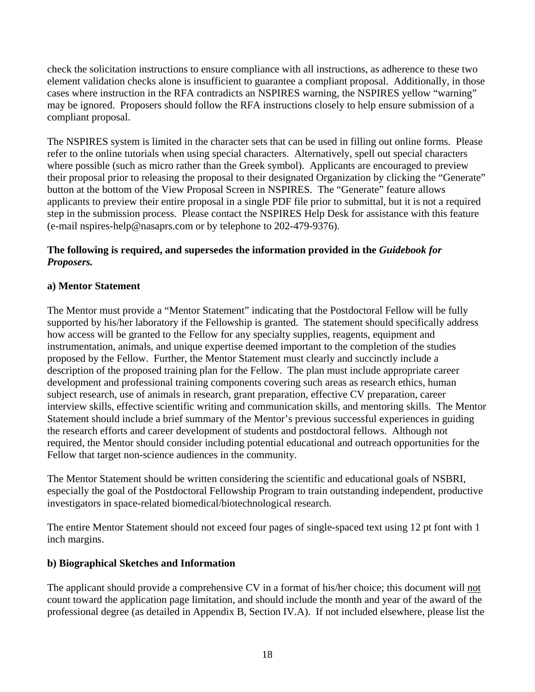check the solicitation instructions to ensure compliance with all instructions, as adherence to these two element validation checks alone is insufficient to guarantee a compliant proposal. Additionally, in those cases where instruction in the RFA contradicts an NSPIRES warning, the NSPIRES yellow "warning" may be ignored. Proposers should follow the RFA instructions closely to help ensure submission of a compliant proposal.

The NSPIRES system is limited in the character sets that can be used in filling out online forms. Please refer to the online tutorials when using special characters. Alternatively, spell out special characters where possible (such as micro rather than the Greek symbol). Applicants are encouraged to preview their proposal prior to releasing the proposal to their designated Organization by clicking the "Generate" button at the bottom of the View Proposal Screen in NSPIRES. The "Generate" feature allows applicants to preview their entire proposal in a single PDF file prior to submittal, but it is not a required step in the submission process. Please contact the NSPIRES Help Desk for assistance with this feature (e-mail [nspires-help@nasaprs.com](mailto:nspires-help@nasaprs.com) or by telephone to 202-479-9376).

#### **The following is required, and supersedes the information provided in the** *Guidebook for Proposers.*

## **a) Mentor Statement**

The Mentor must provide a "Mentor Statement" indicating that the Postdoctoral Fellow will be fully supported by his/her laboratory if the Fellowship is granted. The statement should specifically address how access will be granted to the Fellow for any specialty supplies, reagents, equipment and instrumentation, animals, and unique expertise deemed important to the completion of the studies proposed by the Fellow. Further, the Mentor Statement must clearly and succinctly include a description of the proposed training plan for the Fellow. The plan must include appropriate career development and professional training components covering such areas as research ethics, human subject research, use of animals in research, grant preparation, effective CV preparation, career interview skills, effective scientific writing and communication skills, and mentoring skills. The Mentor Statement should include a brief summary of the Mentor's previous successful experiences in guiding the research efforts and career development of students and postdoctoral fellows. Although not required, the Mentor should consider including potential educational and outreach opportunities for the Fellow that target non-science audiences in the community.

The Mentor Statement should be written considering the scientific and educational goals of NSBRI, especially the goal of the Postdoctoral Fellowship Program to train outstanding independent, productive investigators in space-related biomedical/biotechnological research.

The entire Mentor Statement should not exceed four pages of single-spaced text using 12 pt font with 1 inch margins.

## **b) Biographical Sketches and Information**

The applicant should provide a comprehensive CV in a format of his/her choice; this document will not count toward the application page limitation, and should include the month and year of the award of the professional degree (as detailed in Appendix B, Section IV.A). If not included elsewhere, please list the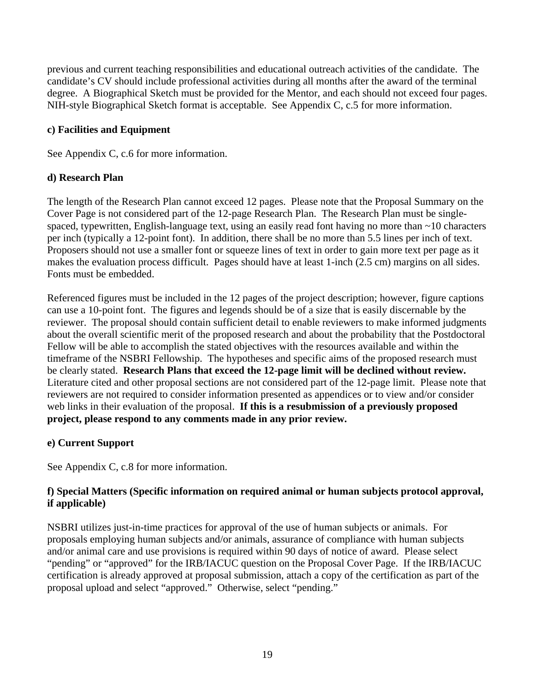previous and current teaching responsibilities and educational outreach activities of the candidate. The candidate's CV should include professional activities during all months after the award of the terminal degree. A Biographical Sketch must be provided for the Mentor, and each should not exceed four pages. NIH-style Biographical Sketch format is acceptable. See Appendix C, c.5 for more information.

## **c) Facilities and Equipment**

See Appendix C, c.6 for more information.

## **d) Research Plan**

The length of the Research Plan cannot exceed 12 pages. Please note that the Proposal Summary on the Cover Page is not considered part of the 12-page Research Plan. The Research Plan must be singlespaced, typewritten, English-language text, using an easily read font having no more than ~10 characters per inch (typically a 12-point font). In addition, there shall be no more than 5.5 lines per inch of text. Proposers should not use a smaller font or squeeze lines of text in order to gain more text per page as it makes the evaluation process difficult. Pages should have at least 1-inch (2.5 cm) margins on all sides. Fonts must be embedded.

Referenced figures must be included in the 12 pages of the project description; however, figure captions can use a 10-point font. The figures and legends should be of a size that is easily discernable by the reviewer. The proposal should contain sufficient detail to enable reviewers to make informed judgments about the overall scientific merit of the proposed research and about the probability that the Postdoctoral Fellow will be able to accomplish the stated objectives with the resources available and within the timeframe of the NSBRI Fellowship. The hypotheses and specific aims of the proposed research must be clearly stated. **Research Plans that exceed the 12-page limit will be declined without review.**  Literature cited and other proposal sections are not considered part of the 12-page limit. Please note that reviewers are not required to consider information presented as appendices or to view and/or consider web links in their evaluation of the proposal. **If this is a resubmission of a previously proposed project, please respond to any comments made in any prior review.** 

## **e) Current Support**

See Appendix C, c.8 for more information.

## **f) Special Matters (Specific information on required animal or human subjects protocol approval, if applicable)**

NSBRI utilizes just-in-time practices for approval of the use of human subjects or animals. For proposals employing human subjects and/or animals, assurance of compliance with human subjects and/or animal care and use provisions is required within 90 days of notice of award. Please select "pending" or "approved" for the IRB/IACUC question on the Proposal Cover Page. If the IRB/IACUC certification is already approved at proposal submission, attach a copy of the certification as part of the proposal upload and select "approved." Otherwise, select "pending."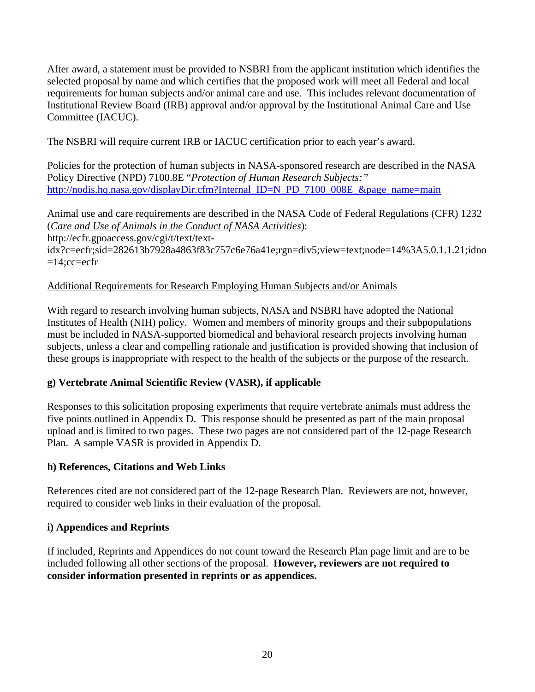After award, a statement must be provided to NSBRI from the applicant institution which identifies the selected proposal by name and which certifies that the proposed work will meet all Federal and local requirements for human subjects and/or animal care and use. This includes relevant documentation of Institutional Review Board (IRB) approval and/or approval by the Institutional Animal Care and Use Committee (IACUC).

The NSBRI will require current IRB or IACUC certification prior to each year's award.

Policies for the protection of human subjects in NASA-sponsored research are described in the NASA Policy Directive (NPD) 7100.8E "*Protection of Human Research Subjects:"* [http://nodis.hq.nasa.gov/displayDir.cfm?Internal\\_ID=N\\_PD\\_7100\\_008E\\_&page\\_name=main](http://nodis.hq.nasa.gov/displayDir.cfm?Internal_ID=N_PD_7100_008E_&page_name=main)

Animal use and care requirements are described in the NASA Code of Federal Regulations (CFR) 1232 (*[Care and Use of Animals in the Conduct of NASA Activities](http://ecfr.gpoaccess.gov/cgi/t/text/text-idx?c=ecfr&sid=2184a825efdce39c35bde4673d5d8158&rgn=div5&view=text&node=14:5.0.1.1.22&idno=14)*): [http://ecfr.gpoaccess.gov/cgi/t/text/text-](http://ecfr.gpoaccess.gov/cgi/t/text/text-idx?c=ecfr;sid=282613b7928a4863f83c757c6e76a41e;rgn=div5;view=text;node=14%3A5.0.1.1.21;idno=14;cc=ecfr)

[idx?c=ecfr;sid=282613b7928a4863f83c757c6e76a41e;rgn=div5;view=text;node=14%3A5.0.1.1.21;idno](http://ecfr.gpoaccess.gov/cgi/t/text/text-idx?c=ecfr;sid=282613b7928a4863f83c757c6e76a41e;rgn=div5;view=text;node=14%3A5.0.1.1.21;idno=14;cc=ecfr)  $=14$ ;cc=ecfr

## Additional Requirements for Research Employing Human Subjects and/or Animals

With regard to research involving human subjects, NASA and NSBRI have adopted the National Institutes of Health (NIH) policy. Women and members of minority groups and their subpopulations must be included in NASA-supported biomedical and behavioral research projects involving human subjects, unless a clear and compelling rationale and justification is provided showing that inclusion of these groups is inappropriate with respect to the health of the subjects or the purpose of the research.

## **g) Vertebrate Animal Scientific Review (VASR), if applicable**

Responses to this solicitation proposing experiments that require vertebrate animals must address the five points outlined in Appendix D. This response should be presented as part of the main proposal upload and is limited to two pages. These two pages are not considered part of the 12-page Research Plan. A sample VASR is provided in Appendix D.

## **h) References, Citations and Web Links**

References cited are not considered part of the 12-page Research Plan. Reviewers are not, however, required to consider web links in their evaluation of the proposal.

## **i) Appendices and Reprints**

If included, Reprints and Appendices do not count toward the Research Plan page limit and are to be included following all other sections of the proposal. **However, reviewers are not required to consider information presented in reprints or as appendices.**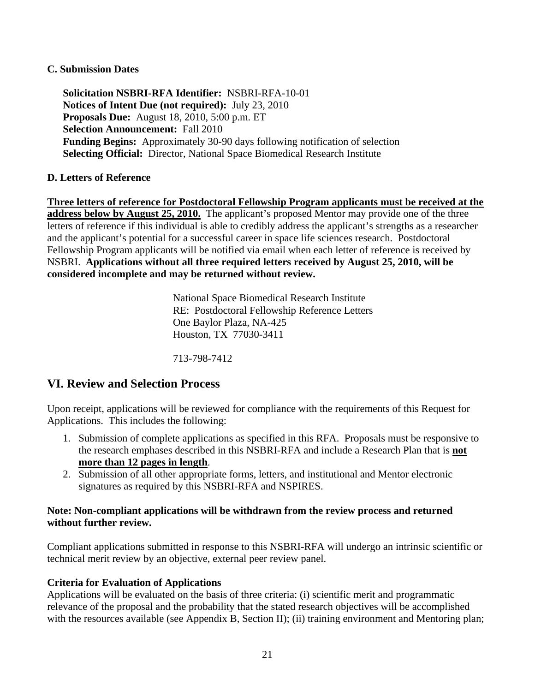#### **C. Submission Dates**

**Solicitation NSBRI-RFA Identifier:** NSBRI-RFA-10-01 **Notices of Intent Due (not required):** July 23, 2010 **Proposals Due:** August 18, 2010, 5:00 p.m. ET **Selection Announcement:** Fall 2010 **Funding Begins:** Approximately 30-90 days following notification of selection **Selecting Official:** Director, National Space Biomedical Research Institute

## **D. Letters of Reference**

**Three letters of reference for Postdoctoral Fellowship Program applicants must be received at the address below by August 25, 2010.** The applicant's proposed Mentor may provide one of the three letters of reference if this individual is able to credibly address the applicant's strengths as a researcher and the applicant's potential for a successful career in space life sciences research. Postdoctoral Fellowship Program applicants will be notified via email when each letter of reference is received by NSBRI. **Applications without all three required letters received by August 25, 2010, will be considered incomplete and may be returned without review.**

> National Space Biomedical Research Institute RE: Postdoctoral Fellowship Reference Letters One Baylor Plaza, NA-425 Houston, TX 77030-3411

713-798-7412

## **VI. Review and Selection Process**

Upon receipt, applications will be reviewed for compliance with the requirements of this Request for Applications. This includes the following:

- 1. Submission of complete applications as specified in this RFA. Proposals must be responsive to the research emphases described in this NSBRI-RFA and include a Research Plan that is **not more than 12 pages in length**.
- 2. Submission of all other appropriate forms, letters, and institutional and Mentor electronic signatures as required by this NSBRI-RFA and NSPIRES.

#### **Note: Non-compliant applications will be withdrawn from the review process and returned without further review.**

Compliant applications submitted in response to this NSBRI-RFA will undergo an intrinsic scientific or technical merit review by an objective, external peer review panel.

## **Criteria for Evaluation of Applications**

Applications will be evaluated on the basis of three criteria: (i) scientific merit and programmatic relevance of the proposal and the probability that the stated research objectives will be accomplished with the resources available (see Appendix B, Section II); (ii) training environment and Mentoring plan;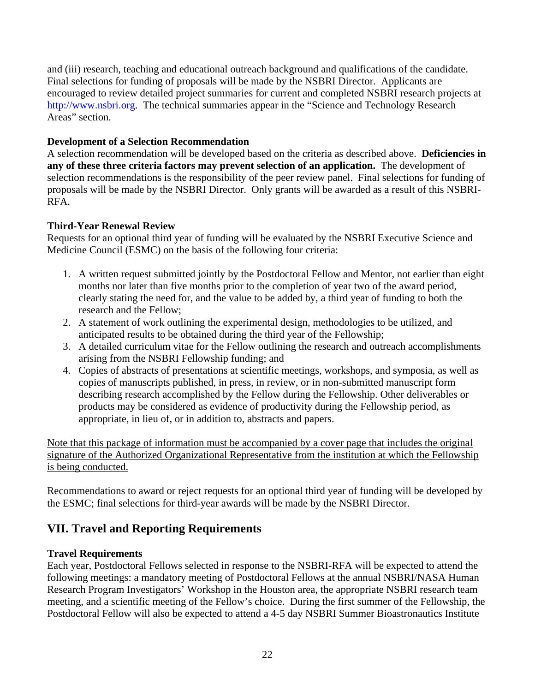and (iii) research, teaching and educational outreach background and qualifications of the candidate. Final selections for funding of proposals will be made by the NSBRI Director. Applicants are encouraged to review detailed project summaries for current and completed NSBRI research projects at [http://www.nsbri.org.](http://www.nsbri.org/) The technical summaries appear in the "Science and Technology Research" Areas" section.

## **Development of a Selection Recommendation**

A selection recommendation will be developed based on the criteria as described above. **Deficiencies in any of these three criteria factors may prevent selection of an application.** The development of selection recommendations is the responsibility of the peer review panel. Final selections for funding of proposals will be made by the NSBRI Director. Only grants will be awarded as a result of this NSBRI-RFA.

## **Third-Year Renewal Review**

Requests for an optional third year of funding will be evaluated by the NSBRI Executive Science and Medicine Council (ESMC) on the basis of the following four criteria:

- 1. A written request submitted jointly by the Postdoctoral Fellow and Mentor, not earlier than eight months nor later than five months prior to the completion of year two of the award period, clearly stating the need for, and the value to be added by, a third year of funding to both the research and the Fellow;
- 2. A statement of work outlining the experimental design, methodologies to be utilized, and anticipated results to be obtained during the third year of the Fellowship;
- 3. A detailed curriculum vitae for the Fellow outlining the research and outreach accomplishments arising from the NSBRI Fellowship funding; and
- 4. Copies of abstracts of presentations at scientific meetings, workshops, and symposia, as well as copies of manuscripts published, in press, in review, or in non-submitted manuscript form describing research accomplished by the Fellow during the Fellowship. Other deliverables or products may be considered as evidence of productivity during the Fellowship period, as appropriate, in lieu of, or in addition to, abstracts and papers.

Note that this package of information must be accompanied by a cover page that includes the original signature of the Authorized Organizational Representative from the institution at which the Fellowship is being conducted.

Recommendations to award or reject requests for an optional third year of funding will be developed by the ESMC; final selections for third-year awards will be made by the NSBRI Director.

# **VII. Travel and Reporting Requirements**

## **Travel Requirements**

Each year, Postdoctoral Fellows selected in response to the NSBRI-RFA will be expected to attend the following meetings: a mandatory meeting of Postdoctoral Fellows at the annual NSBRI/NASA Human Research Program Investigators' Workshop in the Houston area, the appropriate NSBRI research team meeting, and a scientific meeting of the Fellow's choice. During the first summer of the Fellowship, the Postdoctoral Fellow will also be expected to attend a 4-5 day NSBRI Summer Bioastronautics Institute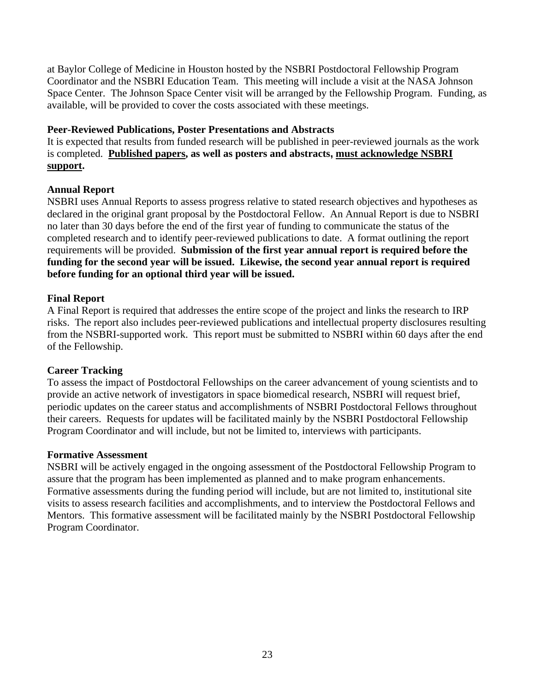at Baylor College of Medicine in Houston hosted by the NSBRI Postdoctoral Fellowship Program Coordinator and the NSBRI Education Team. This meeting will include a visit at the NASA Johnson Space Center. The Johnson Space Center visit will be arranged by the Fellowship Program. Funding, as available, will be provided to cover the costs associated with these meetings.

#### **Peer-Reviewed Publications, Poster Presentations and Abstracts**

It is expected that results from funded research will be published in peer-reviewed journals as the work is completed. **Published papers, as well as posters and abstracts, must acknowledge NSBRI support.**

## **Annual Report**

NSBRI uses Annual Reports to assess progress relative to stated research objectives and hypotheses as declared in the original grant proposal by the Postdoctoral Fellow. An Annual Report is due to NSBRI no later than 30 days before the end of the first year of funding to communicate the status of the completed research and to identify peer-reviewed publications to date. A format outlining the report requirements will be provided. **Submission of the first year annual report is required before the funding for the second year will be issued. Likewise, the second year annual report is required before funding for an optional third year will be issued.**

## **Final Report**

A Final Report is required that addresses the entire scope of the project and links the research to IRP risks. The report also includes peer-reviewed publications and intellectual property disclosures resulting from the NSBRI-supported work. This report must be submitted to NSBRI within 60 days after the end of the Fellowship.

## **Career Tracking**

To assess the impact of Postdoctoral Fellowships on the career advancement of young scientists and to provide an active network of investigators in space biomedical research, NSBRI will request brief, periodic updates on the career status and accomplishments of NSBRI Postdoctoral Fellows throughout their careers. Requests for updates will be facilitated mainly by the NSBRI Postdoctoral Fellowship Program Coordinator and will include, but not be limited to, interviews with participants.

## **Formative Assessment**

NSBRI will be actively engaged in the ongoing assessment of the Postdoctoral Fellowship Program to assure that the program has been implemented as planned and to make program enhancements. Formative assessments during the funding period will include, but are not limited to, institutional site visits to assess research facilities and accomplishments, and to interview the Postdoctoral Fellows and Mentors. This formative assessment will be facilitated mainly by the NSBRI Postdoctoral Fellowship Program Coordinator.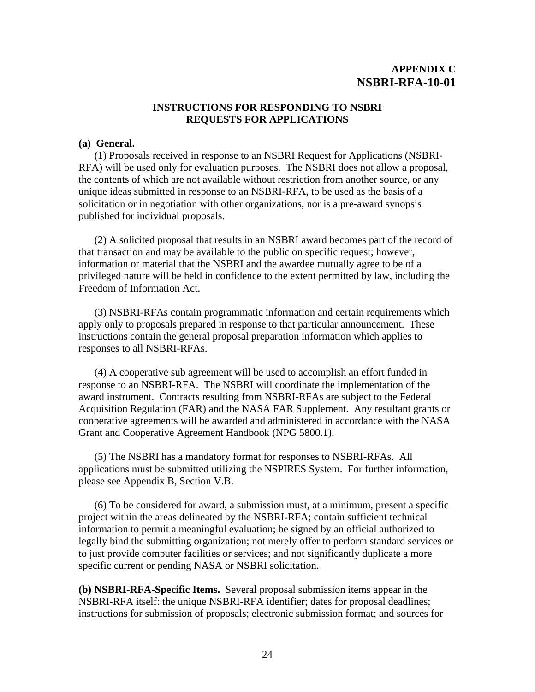## **APPENDIX C NSBRI-RFA-10-01**

#### **INSTRUCTIONS FOR RESPONDING TO NSBRI REQUESTS FOR APPLICATIONS**

#### **(a) General.**

 (1) Proposals received in response to an NSBRI Request for Applications (NSBRI-RFA) will be used only for evaluation purposes. The NSBRI does not allow a proposal, the contents of which are not available without restriction from another source, or any unique ideas submitted in response to an NSBRI-RFA, to be used as the basis of a solicitation or in negotiation with other organizations, nor is a pre-award synopsis published for individual proposals.

 (2) A solicited proposal that results in an NSBRI award becomes part of the record of that transaction and may be available to the public on specific request; however, information or material that the NSBRI and the awardee mutually agree to be of a privileged nature will be held in confidence to the extent permitted by law, including the Freedom of Information Act.

(3) NSBRI-RFAs contain programmatic information and certain requirements which apply only to proposals prepared in response to that particular announcement. These instructions contain the general proposal preparation information which applies to responses to all NSBRI-RFAs.

(4) A cooperative sub agreement will be used to accomplish an effort funded in response to an NSBRI-RFA. The NSBRI will coordinate the implementation of the award instrument. Contracts resulting from NSBRI-RFAs are subject to the Federal Acquisition Regulation (FAR) and the NASA FAR Supplement. Any resultant grants or cooperative agreements will be awarded and administered in accordance with the NASA Grant and Cooperative Agreement Handbook (NPG 5800.1).

 (5) The NSBRI has a mandatory format for responses to NSBRI-RFAs. All applications must be submitted utilizing the NSPIRES System. For further information, please see Appendix B, Section V.B.

 (6) To be considered for award, a submission must, at a minimum, present a specific project within the areas delineated by the NSBRI-RFA; contain sufficient technical information to permit a meaningful evaluation; be signed by an official authorized to legally bind the submitting organization; not merely offer to perform standard services or to just provide computer facilities or services; and not significantly duplicate a more specific current or pending NASA or NSBRI solicitation.

**(b) NSBRI-RFA-Specific Items.** Several proposal submission items appear in the NSBRI-RFA itself: the unique NSBRI-RFA identifier; dates for proposal deadlines; instructions for submission of proposals; electronic submission format; and sources for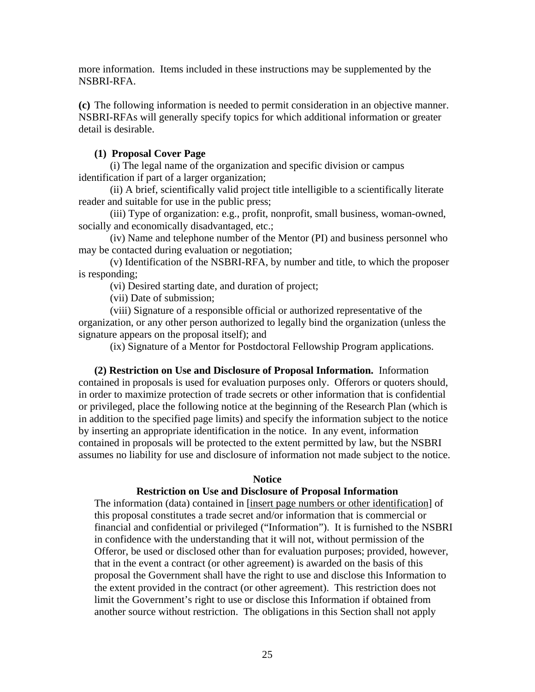more information. Items included in these instructions may be supplemented by the NSBRI-RFA.

**(c)** The following information is needed to permit consideration in an objective manner. NSBRI-RFAs will generally specify topics for which additional information or greater detail is desirable.

#### **(1) Proposal Cover Page**

 (i) The legal name of the organization and specific division or campus identification if part of a larger organization;

 (ii) A brief, scientifically valid project title intelligible to a scientifically literate reader and suitable for use in the public press;

 (iii) Type of organization: e.g., profit, nonprofit, small business, woman-owned, socially and economically disadvantaged, etc.;

 (iv) Name and telephone number of the Mentor (PI) and business personnel who may be contacted during evaluation or negotiation;

 (v) Identification of the NSBRI-RFA, by number and title, to which the proposer is responding;

(vi) Desired starting date, and duration of project;

(vii) Date of submission;

 (viii) Signature of a responsible official or authorized representative of the organization, or any other person authorized to legally bind the organization (unless the signature appears on the proposal itself); and

(ix) Signature of a Mentor for Postdoctoral Fellowship Program applications.

 **(2) Restriction on Use and Disclosure of Proposal Information.** Information contained in proposals is used for evaluation purposes only. Offerors or quoters should, in order to maximize protection of trade secrets or other information that is confidential or privileged, place the following notice at the beginning of the Research Plan (which is in addition to the specified page limits) and specify the information subject to the notice by inserting an appropriate identification in the notice. In any event, information contained in proposals will be protected to the extent permitted by law, but the NSBRI assumes no liability for use and disclosure of information not made subject to the notice.

#### **Notice**

#### **Restriction on Use and Disclosure of Proposal Information**

The information (data) contained in [insert page numbers or other identification] of this proposal constitutes a trade secret and/or information that is commercial or financial and confidential or privileged ("Information"). It is furnished to the NSBRI in confidence with the understanding that it will not, without permission of the Offeror, be used or disclosed other than for evaluation purposes; provided, however, that in the event a contract (or other agreement) is awarded on the basis of this proposal the Government shall have the right to use and disclose this Information to the extent provided in the contract (or other agreement). This restriction does not limit the Government's right to use or disclose this Information if obtained from another source without restriction. The obligations in this Section shall not apply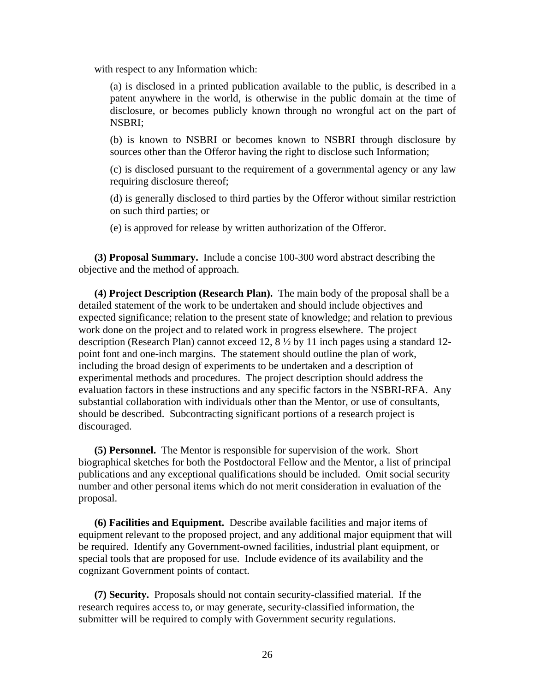with respect to any Information which:

(a) is disclosed in a printed publication available to the public, is described in a patent anywhere in the world, is otherwise in the public domain at the time of disclosure, or becomes publicly known through no wrongful act on the part of NSBRI;

(b) is known to NSBRI or becomes known to NSBRI through disclosure by sources other than the Offeror having the right to disclose such Information;

(c) is disclosed pursuant to the requirement of a governmental agency or any law requiring disclosure thereof;

(d) is generally disclosed to third parties by the Offeror without similar restriction on such third parties; or

(e) is approved for release by written authorization of the Offeror.

 **(3) Proposal Summary.** Include a concise 100-300 word abstract describing the objective and the method of approach.

 **(4) Project Description (Research Plan).** The main body of the proposal shall be a detailed statement of the work to be undertaken and should include objectives and expected significance; relation to the present state of knowledge; and relation to previous work done on the project and to related work in progress elsewhere. The project description (Research Plan) cannot exceed 12, 8 ½ by 11 inch pages using a standard 12 point font and one-inch margins. The statement should outline the plan of work, including the broad design of experiments to be undertaken and a description of experimental methods and procedures. The project description should address the evaluation factors in these instructions and any specific factors in the NSBRI-RFA. Any substantial collaboration with individuals other than the Mentor, or use of consultants, should be described. Subcontracting significant portions of a research project is discouraged.

 **(5) Personnel.** The Mentor is responsible for supervision of the work. Short biographical sketches for both the Postdoctoral Fellow and the Mentor, a list of principal publications and any exceptional qualifications should be included. Omit social security number and other personal items which do not merit consideration in evaluation of the proposal.

 **(6) Facilities and Equipment.** Describe available facilities and major items of equipment relevant to the proposed project, and any additional major equipment that will be required. Identify any Government-owned facilities, industrial plant equipment, or special tools that are proposed for use. Include evidence of its availability and the cognizant Government points of contact.

 **(7) Security.** Proposals should not contain security-classified material. If the research requires access to, or may generate, security-classified information, the submitter will be required to comply with Government security regulations.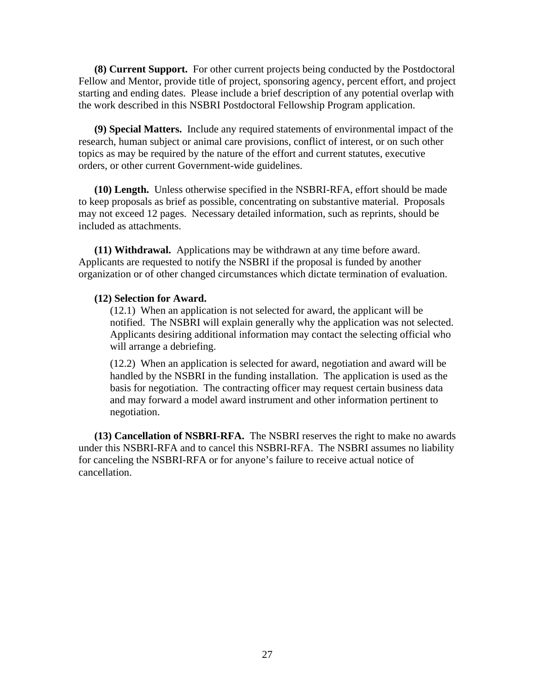**(8) Current Support.** For other current projects being conducted by the Postdoctoral Fellow and Mentor, provide title of project, sponsoring agency, percent effort, and project starting and ending dates. Please include a brief description of any potential overlap with the work described in this NSBRI Postdoctoral Fellowship Program application.

 **(9) Special Matters.** Include any required statements of environmental impact of the research, human subject or animal care provisions, conflict of interest, or on such other topics as may be required by the nature of the effort and current statutes, executive orders, or other current Government-wide guidelines.

 **(10) Length.** Unless otherwise specified in the NSBRI-RFA, effort should be made to keep proposals as brief as possible, concentrating on substantive material. Proposals may not exceed 12 pages. Necessary detailed information, such as reprints, should be included as attachments.

 **(11) Withdrawal.** Applications may be withdrawn at any time before award. Applicants are requested to notify the NSBRI if the proposal is funded by another organization or of other changed circumstances which dictate termination of evaluation.

#### **(12) Selection for Award.**

(12.1) When an application is not selected for award, the applicant will be notified. The NSBRI will explain generally why the application was not selected. Applicants desiring additional information may contact the selecting official who will arrange a debriefing.

(12.2) When an application is selected for award, negotiation and award will be handled by the NSBRI in the funding installation. The application is used as the basis for negotiation. The contracting officer may request certain business data and may forward a model award instrument and other information pertinent to negotiation.

 **(13) Cancellation of NSBRI-RFA.** The NSBRI reserves the right to make no awards under this NSBRI-RFA and to cancel this NSBRI-RFA. The NSBRI assumes no liability for canceling the NSBRI-RFA or for anyone's failure to receive actual notice of cancellation.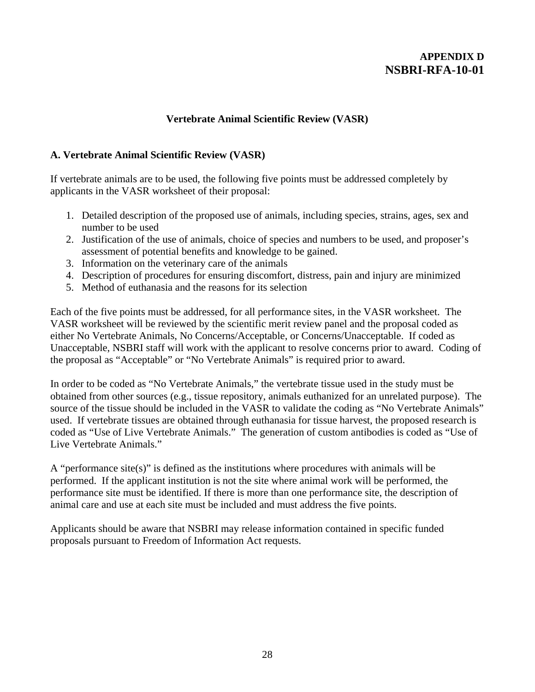## **APPENDIX D NSBRI-RFA-10-01**

#### **Vertebrate Animal Scientific Review (VASR)**

#### **A. Vertebrate Animal Scientific Review (VASR)**

If vertebrate animals are to be used, the following five points must be addressed completely by applicants in the VASR worksheet of their proposal:

- 1. Detailed description of the proposed use of animals, including species, strains, ages, sex and number to be used
- 2. Justification of the use of animals, choice of species and numbers to be used, and proposer's assessment of potential benefits and knowledge to be gained.
- 3. Information on the veterinary care of the animals
- 4. Description of procedures for ensuring discomfort, distress, pain and injury are minimized
- 5. Method of euthanasia and the reasons for its selection

Each of the five points must be addressed, for all performance sites, in the VASR worksheet. The VASR worksheet will be reviewed by the scientific merit review panel and the proposal coded as either No Vertebrate Animals, No Concerns/Acceptable, or Concerns/Unacceptable. If coded as Unacceptable, NSBRI staff will work with the applicant to resolve concerns prior to award. Coding of the proposal as "Acceptable" or "No Vertebrate Animals" is required prior to award.

In order to be coded as "No Vertebrate Animals," the vertebrate tissue used in the study must be obtained from other sources (e.g., tissue repository, animals euthanized for an unrelated purpose). The source of the tissue should be included in the VASR to validate the coding as "No Vertebrate Animals" used. If vertebrate tissues are obtained through euthanasia for tissue harvest, the proposed research is coded as "Use of Live Vertebrate Animals." The generation of custom antibodies is coded as "Use of Live Vertebrate Animals."

A "performance site(s)" is defined as the institutions where procedures with animals will be performed. If the applicant institution is not the site where animal work will be performed, the performance site must be identified. If there is more than one performance site, the description of animal care and use at each site must be included and must address the five points.

Applicants should be aware that NSBRI may release information contained in specific funded proposals pursuant to Freedom of Information Act requests.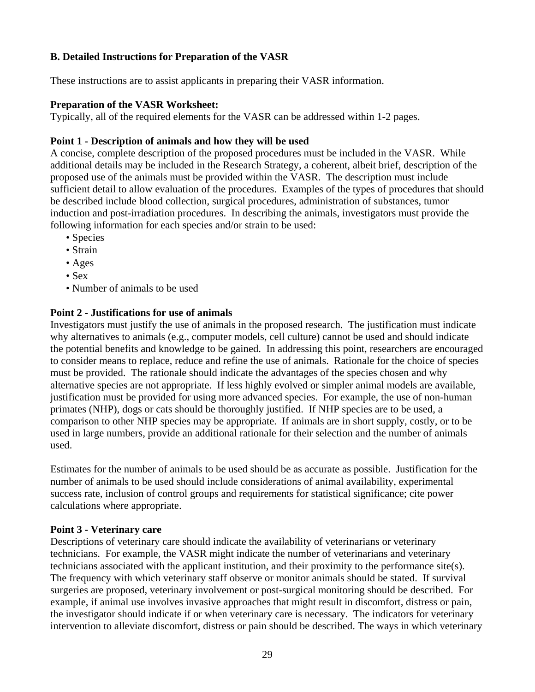## **B. Detailed Instructions for Preparation of the VASR**

These instructions are to assist applicants in preparing their VASR information.

## **Preparation of the VASR Worksheet:**

Typically, all of the required elements for the VASR can be addressed within 1-2 pages.

## **Point 1 - Description of animals and how they will be used**

A concise, complete description of the proposed procedures must be included in the VASR. While additional details may be included in the Research Strategy, a coherent, albeit brief, description of the proposed use of the animals must be provided within the VASR. The description must include sufficient detail to allow evaluation of the procedures. Examples of the types of procedures that should be described include blood collection, surgical procedures, administration of substances, tumor induction and post-irradiation procedures. In describing the animals, investigators must provide the following information for each species and/or strain to be used:

- Species
- Strain
- Ages
- Sex
- Number of animals to be used

## **Point 2 - Justifications for use of animals**

Investigators must justify the use of animals in the proposed research. The justification must indicate why alternatives to animals (e.g., computer models, cell culture) cannot be used and should indicate the potential benefits and knowledge to be gained. In addressing this point, researchers are encouraged to consider means to replace, reduce and refine the use of animals. Rationale for the choice of species must be provided. The rationale should indicate the advantages of the species chosen and why alternative species are not appropriate. If less highly evolved or simpler animal models are available, justification must be provided for using more advanced species. For example, the use of non-human primates (NHP), dogs or cats should be thoroughly justified. If NHP species are to be used, a comparison to other NHP species may be appropriate. If animals are in short supply, costly, or to be used in large numbers, provide an additional rationale for their selection and the number of animals used.

Estimates for the number of animals to be used should be as accurate as possible. Justification for the number of animals to be used should include considerations of animal availability, experimental success rate, inclusion of control groups and requirements for statistical significance; cite power calculations where appropriate.

## **Point 3 - Veterinary care**

Descriptions of veterinary care should indicate the availability of veterinarians or veterinary technicians. For example, the VASR might indicate the number of veterinarians and veterinary technicians associated with the applicant institution, and their proximity to the performance site(s). The frequency with which veterinary staff observe or monitor animals should be stated. If survival surgeries are proposed, veterinary involvement or post-surgical monitoring should be described. For example, if animal use involves invasive approaches that might result in discomfort, distress or pain, the investigator should indicate if or when veterinary care is necessary. The indicators for veterinary intervention to alleviate discomfort, distress or pain should be described. The ways in which veterinary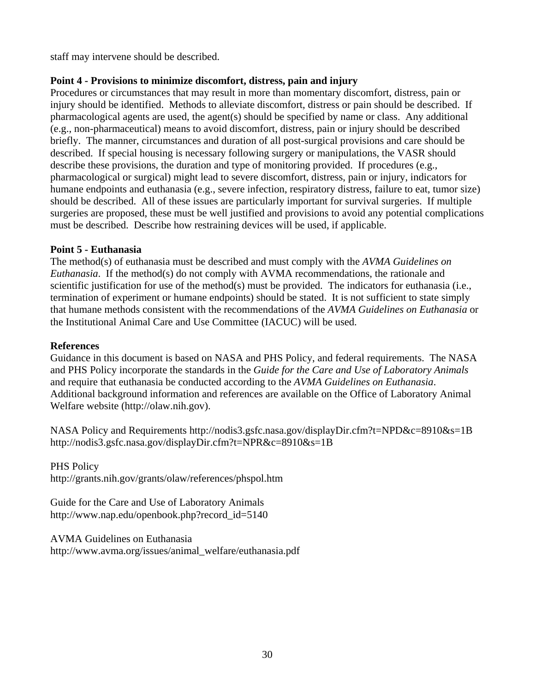staff may intervene should be described.

## **Point 4 - Provisions to minimize discomfort, distress, pain and injury**

Procedures or circumstances that may result in more than momentary discomfort, distress, pain or injury should be identified. Methods to alleviate discomfort, distress or pain should be described. If pharmacological agents are used, the agent(s) should be specified by name or class. Any additional (e.g., non-pharmaceutical) means to avoid discomfort, distress, pain or injury should be described briefly. The manner, circumstances and duration of all post-surgical provisions and care should be described. If special housing is necessary following surgery or manipulations, the VASR should describe these provisions, the duration and type of monitoring provided. If procedures (e.g., pharmacological or surgical) might lead to severe discomfort, distress, pain or injury, indicators for humane endpoints and euthanasia (e.g., severe infection, respiratory distress, failure to eat, tumor size) should be described. All of these issues are particularly important for survival surgeries. If multiple surgeries are proposed, these must be well justified and provisions to avoid any potential complications must be described. Describe how restraining devices will be used, if applicable.

#### **Point 5 - Euthanasia**

The method(s) of euthanasia must be described and must comply with the *AVMA Guidelines on Euthanasia*. If the method(s) do not comply with AVMA recommendations, the rationale and scientific justification for use of the method(s) must be provided. The indicators for euthanasia (i.e., termination of experiment or humane endpoints) should be stated. It is not sufficient to state simply that humane methods consistent with the recommendations of the *AVMA Guidelines on Euthanasia* or the Institutional Animal Care and Use Committee (IACUC) will be used.

#### **References**

Guidance in this document is based on NASA and PHS Policy, and federal requirements. The NASA and PHS Policy incorporate the standards in the *Guide for the Care and Use of Laboratory Animals*  and require that euthanasia be conducted according to the *AVMA Guidelines on Euthanasia*. Additional background information and references are available on the Office of Laboratory Animal Welfare website ([http://olaw.nih.gov](http://olaw.nih.gov/)).

NASA Policy and Requirements <http://nodis3.gsfc.nasa.gov/displayDir.cfm?t=NPD&c=8910&s=1B> <http://nodis3.gsfc.nasa.gov/displayDir.cfm?t=NPR&c=8910&s=1B>

#### PHS Policy

<http://grants.nih.gov/grants/olaw/references/phspol.htm>

Guide for the Care and Use of Laboratory Animals [http://www.nap.edu/openbook.php?record\\_id=5140](http://www.nap.edu/openbook.php?record_id=5140) 

AVMA Guidelines on Euthanasia [http://www.avma.org/issues/animal\\_welfare/euthanasia.pdf](http://www.avma.org/issues/animal_welfare/euthanasia.pdf)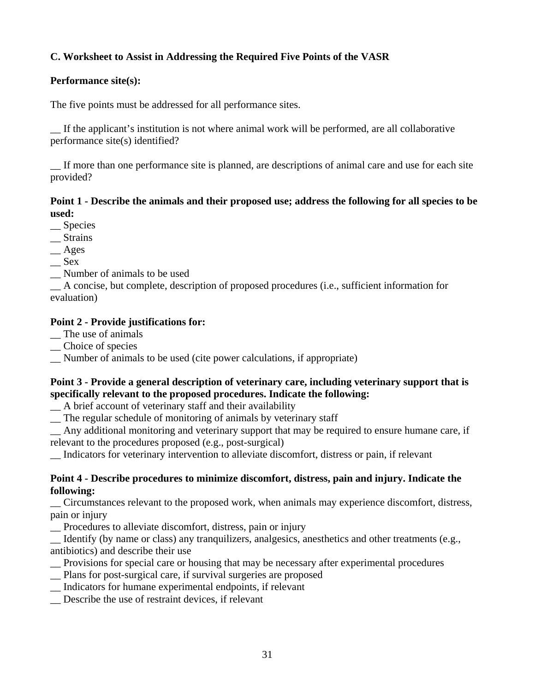## **C. Worksheet to Assist in Addressing the Required Five Points of the VASR**

## **Performance site(s):**

The five points must be addressed for all performance sites.

\_\_ If the applicant's institution is not where animal work will be performed, are all collaborative performance site(s) identified?

If more than one performance site is planned, are descriptions of animal care and use for each site provided?

#### **Point 1 - Describe the animals and their proposed use; address the following for all species to be used:**

\_\_ Species

- \_\_ Strains
- \_\_ Ages
- $\mathcal{S}$ ex
- \_\_ Number of animals to be used

\_\_ A concise, but complete, description of proposed procedures (i.e., sufficient information for evaluation)

## **Point 2 - Provide justifications for:**

- \_\_ The use of animals
- \_\_ Choice of species
- \_\_ Number of animals to be used (cite power calculations, if appropriate)

## **Point 3 - Provide a general description of veterinary care, including veterinary support that is specifically relevant to the proposed procedures. Indicate the following:**

\_\_ A brief account of veterinary staff and their availability

\_\_ The regular schedule of monitoring of animals by veterinary staff

\_\_ Any additional monitoring and veterinary support that may be required to ensure humane care, if relevant to the procedures proposed (e.g., post-surgical)

\_\_ Indicators for veterinary intervention to alleviate discomfort, distress or pain, if relevant

#### **Point 4 - Describe procedures to minimize discomfort, distress, pain and injury. Indicate the following:**

\_\_ Circumstances relevant to the proposed work, when animals may experience discomfort, distress, pain or injury

\_\_ Procedures to alleviate discomfort, distress, pain or injury

\_\_ Identify (by name or class) any tranquilizers, analgesics, anesthetics and other treatments (e.g., antibiotics) and describe their use

- \_\_ Provisions for special care or housing that may be necessary after experimental procedures
- \_\_ Plans for post-surgical care, if survival surgeries are proposed
- \_\_ Indicators for humane experimental endpoints, if relevant
- \_\_ Describe the use of restraint devices, if relevant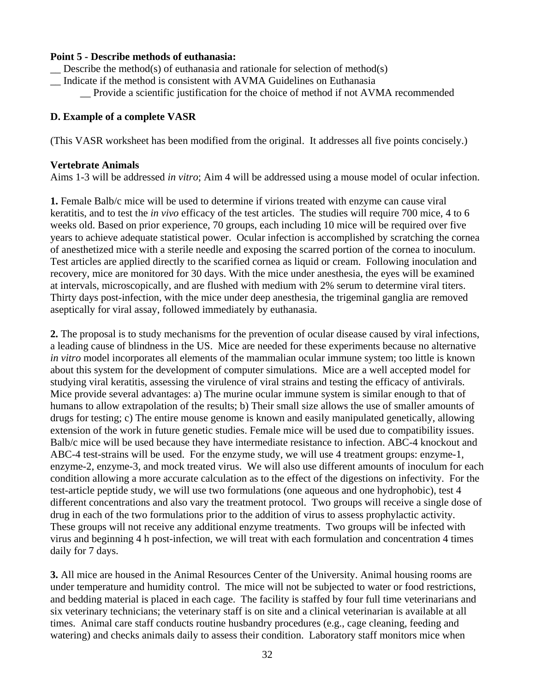#### **Point 5 - Describe methods of euthanasia:**

- $\sum$  Describe the method(s) of euthanasia and rationale for selection of method(s)
- \_\_ Indicate if the method is consistent with AVMA Guidelines on Euthanasia
	- \_\_ Provide a scientific justification for the choice of method if not AVMA recommended

#### **D. Example of a complete VASR**

(This VASR worksheet has been modified from the original. It addresses all five points concisely.)

#### **Vertebrate Animals**

Aims 1-3 will be addressed *in vitro*; Aim 4 will be addressed using a mouse model of ocular infection.

**1.** Female Balb/c mice will be used to determine if virions treated with enzyme can cause viral keratitis, and to test the *in vivo* efficacy of the test articles. The studies will require 700 mice, 4 to 6 weeks old. Based on prior experience, 70 groups, each including 10 mice will be required over five years to achieve adequate statistical power. Ocular infection is accomplished by scratching the cornea of anesthetized mice with a sterile needle and exposing the scarred portion of the cornea to inoculum. Test articles are applied directly to the scarified cornea as liquid or cream. Following inoculation and recovery, mice are monitored for 30 days. With the mice under anesthesia, the eyes will be examined at intervals, microscopically, and are flushed with medium with 2% serum to determine viral titers. Thirty days post-infection, with the mice under deep anesthesia, the trigeminal ganglia are removed aseptically for viral assay, followed immediately by euthanasia.

**2.** The proposal is to study mechanisms for the prevention of ocular disease caused by viral infections, a leading cause of blindness in the US. Mice are needed for these experiments because no alternative *in vitro* model incorporates all elements of the mammalian ocular immune system; too little is known about this system for the development of computer simulations. Mice are a well accepted model for studying viral keratitis, assessing the virulence of viral strains and testing the efficacy of antivirals. Mice provide several advantages: a) The murine ocular immune system is similar enough to that of humans to allow extrapolation of the results; b) Their small size allows the use of smaller amounts of drugs for testing; c) The entire mouse genome is known and easily manipulated genetically, allowing extension of the work in future genetic studies. Female mice will be used due to compatibility issues. Balb/c mice will be used because they have intermediate resistance to infection. ABC-4 knockout and ABC-4 test-strains will be used. For the enzyme study, we will use 4 treatment groups: enzyme-1, enzyme-2, enzyme-3, and mock treated virus. We will also use different amounts of inoculum for each condition allowing a more accurate calculation as to the effect of the digestions on infectivity. For the test-article peptide study, we will use two formulations (one aqueous and one hydrophobic), test 4 different concentrations and also vary the treatment protocol. Two groups will receive a single dose of drug in each of the two formulations prior to the addition of virus to assess prophylactic activity. These groups will not receive any additional enzyme treatments. Two groups will be infected with virus and beginning 4 h post-infection, we will treat with each formulation and concentration 4 times daily for 7 days.

**3.** All mice are housed in the Animal Resources Center of the University. Animal housing rooms are under temperature and humidity control. The mice will not be subjected to water or food restrictions, and bedding material is placed in each cage. The facility is staffed by four full time veterinarians and six veterinary technicians; the veterinary staff is on site and a clinical veterinarian is available at all times. Animal care staff conducts routine husbandry procedures (e.g., cage cleaning, feeding and watering) and checks animals daily to assess their condition. Laboratory staff monitors mice when